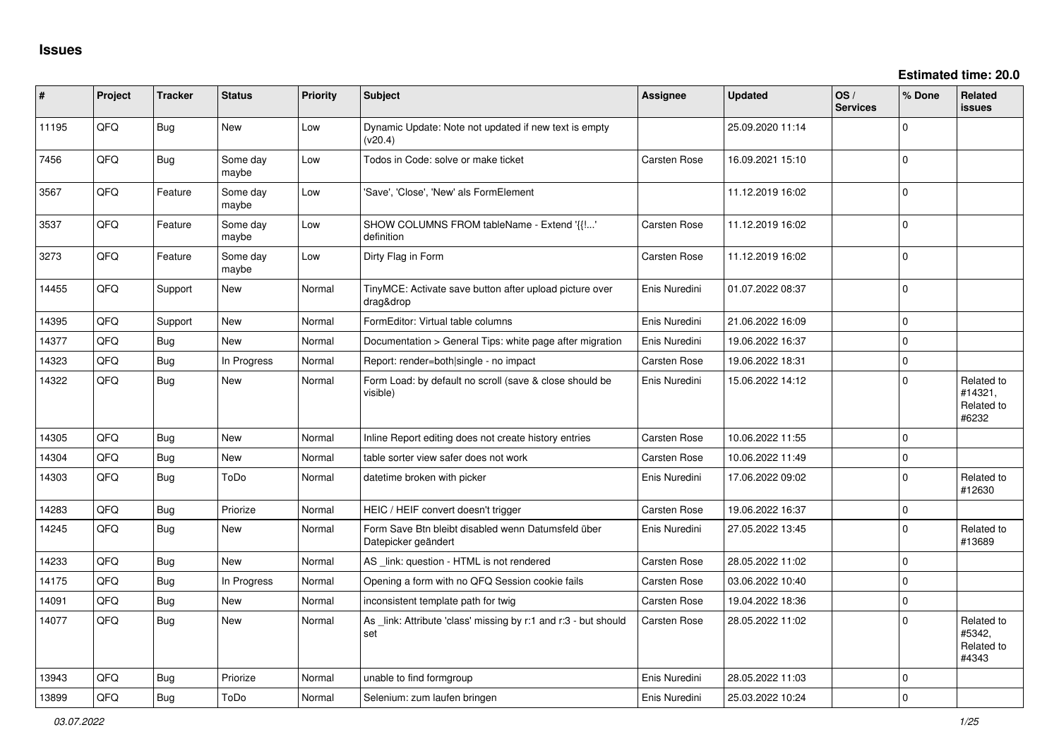| #     | Project | <b>Tracker</b> | <b>Status</b>     | <b>Priority</b> | <b>Subject</b>                                                            | <b>Assignee</b>     | <b>Updated</b>   | OS/<br><b>Services</b> | % Done       | Related<br>issues                            |
|-------|---------|----------------|-------------------|-----------------|---------------------------------------------------------------------------|---------------------|------------------|------------------------|--------------|----------------------------------------------|
| 11195 | QFQ     | Bug            | New               | Low             | Dynamic Update: Note not updated if new text is empty<br>(v20.4)          |                     | 25.09.2020 11:14 |                        | $\Omega$     |                                              |
| 7456  | QFQ     | Bug            | Some day<br>maybe | Low             | Todos in Code: solve or make ticket                                       | <b>Carsten Rose</b> | 16.09.2021 15:10 |                        | $\Omega$     |                                              |
| 3567  | QFQ     | Feature        | Some day<br>maybe | Low             | 'Save', 'Close', 'New' als FormElement                                    |                     | 11.12.2019 16:02 |                        | $\mathbf 0$  |                                              |
| 3537  | QFQ     | Feature        | Some day<br>maybe | Low             | SHOW COLUMNS FROM tableName - Extend '{{!'<br>definition                  | <b>Carsten Rose</b> | 11.12.2019 16:02 |                        | $\mathbf 0$  |                                              |
| 3273  | QFQ     | Feature        | Some day<br>maybe | Low             | Dirty Flag in Form                                                        | Carsten Rose        | 11.12.2019 16:02 |                        | $\Omega$     |                                              |
| 14455 | QFQ     | Support        | <b>New</b>        | Normal          | TinyMCE: Activate save button after upload picture over<br>drag&drop      | Enis Nuredini       | 01.07.2022 08:37 |                        | $\Omega$     |                                              |
| 14395 | QFQ     | Support        | New               | Normal          | FormEditor: Virtual table columns                                         | Enis Nuredini       | 21.06.2022 16:09 |                        | $\mathbf{0}$ |                                              |
| 14377 | QFQ     | Bug            | <b>New</b>        | Normal          | Documentation > General Tips: white page after migration                  | Enis Nuredini       | 19.06.2022 16:37 |                        | $\mathbf{0}$ |                                              |
| 14323 | QFQ     | Bug            | In Progress       | Normal          | Report: render=both single - no impact                                    | <b>Carsten Rose</b> | 19.06.2022 18:31 |                        | $\mathbf{0}$ |                                              |
| 14322 | QFQ     | <b>Bug</b>     | New               | Normal          | Form Load: by default no scroll (save & close should be<br>visible)       | Enis Nuredini       | 15.06.2022 14:12 |                        | $\Omega$     | Related to<br>#14321,<br>Related to<br>#6232 |
| 14305 | QFQ     | <b>Bug</b>     | New               | Normal          | Inline Report editing does not create history entries                     | <b>Carsten Rose</b> | 10.06.2022 11:55 |                        | $\mathbf 0$  |                                              |
| 14304 | QFQ     | Bug            | New               | Normal          | table sorter view safer does not work                                     | <b>Carsten Rose</b> | 10.06.2022 11:49 |                        | $\mathbf 0$  |                                              |
| 14303 | QFQ     | Bug            | ToDo              | Normal          | datetime broken with picker                                               | Enis Nuredini       | 17.06.2022 09:02 |                        | $\mathbf 0$  | Related to<br>#12630                         |
| 14283 | QFQ     | Bug            | Priorize          | Normal          | HEIC / HEIF convert doesn't trigger                                       | <b>Carsten Rose</b> | 19.06.2022 16:37 |                        | $\mathbf 0$  |                                              |
| 14245 | QFQ     | Bug            | New               | Normal          | Form Save Btn bleibt disabled wenn Datumsfeld über<br>Datepicker geändert | Enis Nuredini       | 27.05.2022 13:45 |                        | $\Omega$     | Related to<br>#13689                         |
| 14233 | QFQ     | Bug            | New               | Normal          | AS _link: question - HTML is not rendered                                 | <b>Carsten Rose</b> | 28.05.2022 11:02 |                        | $\mathbf 0$  |                                              |
| 14175 | QFQ     | Bug            | In Progress       | Normal          | Opening a form with no QFQ Session cookie fails                           | <b>Carsten Rose</b> | 03.06.2022 10:40 |                        | $\Omega$     |                                              |
| 14091 | QFQ     | Bug            | New               | Normal          | inconsistent template path for twig                                       | <b>Carsten Rose</b> | 19.04.2022 18:36 |                        | $\mathbf 0$  |                                              |
| 14077 | QFQ     | Bug            | New               | Normal          | As _link: Attribute 'class' missing by r:1 and r:3 - but should<br>set    | <b>Carsten Rose</b> | 28.05.2022 11:02 |                        | $\Omega$     | Related to<br>#5342,<br>Related to<br>#4343  |
| 13943 | QFQ     | Bug            | Priorize          | Normal          | unable to find formgroup                                                  | Enis Nuredini       | 28.05.2022 11:03 |                        | $\Omega$     |                                              |
| 13899 | QFQ     | Bug            | ToDo              | Normal          | Selenium: zum laufen bringen                                              | Enis Nuredini       | 25.03.2022 10:24 |                        | $\Omega$     |                                              |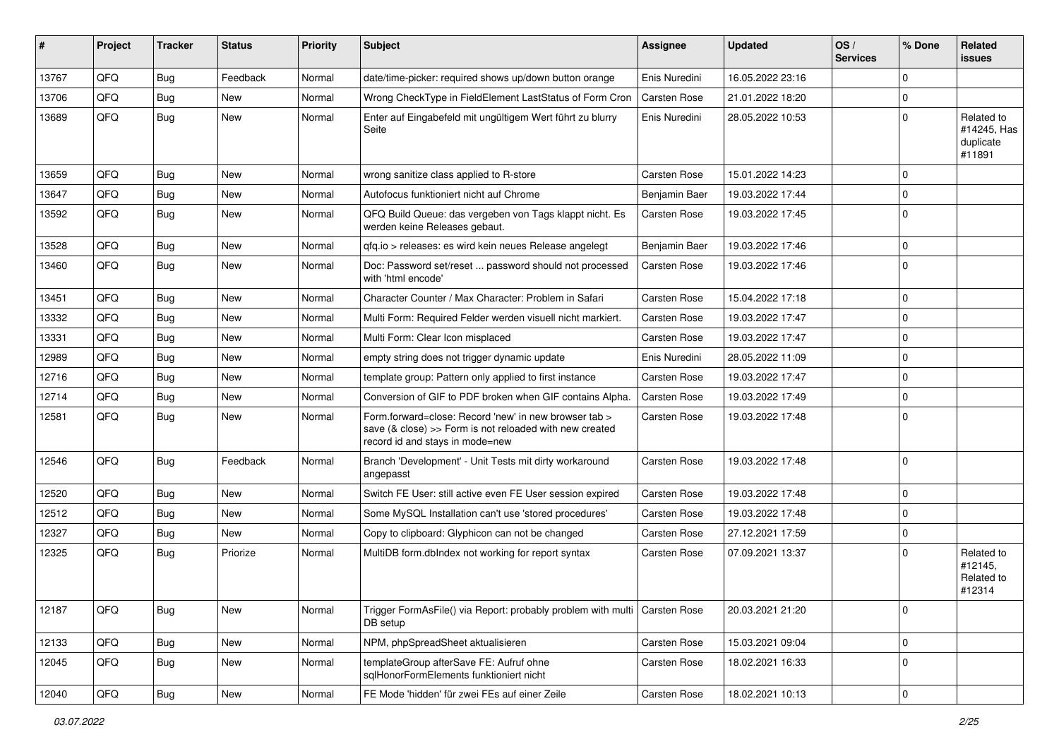| #     | Project | <b>Tracker</b> | <b>Status</b> | <b>Priority</b> | Subject                                                                                                                                             | <b>Assignee</b>     | <b>Updated</b>   | OS/<br><b>Services</b> | % Done         | Related<br><b>issues</b>                         |
|-------|---------|----------------|---------------|-----------------|-----------------------------------------------------------------------------------------------------------------------------------------------------|---------------------|------------------|------------------------|----------------|--------------------------------------------------|
| 13767 | QFQ     | Bug            | Feedback      | Normal          | date/time-picker: required shows up/down button orange                                                                                              | Enis Nuredini       | 16.05.2022 23:16 |                        | $\Omega$       |                                                  |
| 13706 | QFQ     | Bug            | New           | Normal          | Wrong CheckType in FieldElement LastStatus of Form Cron                                                                                             | <b>Carsten Rose</b> | 21.01.2022 18:20 |                        | $\Omega$       |                                                  |
| 13689 | QFQ     | Bug            | New           | Normal          | Enter auf Eingabefeld mit ungültigem Wert führt zu blurry<br>Seite                                                                                  | Enis Nuredini       | 28.05.2022 10:53 |                        | $\Omega$       | Related to<br>#14245, Has<br>duplicate<br>#11891 |
| 13659 | QFQ     | Bug            | <b>New</b>    | Normal          | wrong sanitize class applied to R-store                                                                                                             | <b>Carsten Rose</b> | 15.01.2022 14:23 |                        | $\Omega$       |                                                  |
| 13647 | QFQ     | Bug            | New           | Normal          | Autofocus funktioniert nicht auf Chrome                                                                                                             | Benjamin Baer       | 19.03.2022 17:44 |                        | 0              |                                                  |
| 13592 | QFQ     | Bug            | New           | Normal          | QFQ Build Queue: das vergeben von Tags klappt nicht. Es<br>werden keine Releases gebaut.                                                            | <b>Carsten Rose</b> | 19.03.2022 17:45 |                        | $\Omega$       |                                                  |
| 13528 | QFQ     | Bug            | <b>New</b>    | Normal          | qfq.io > releases: es wird kein neues Release angelegt                                                                                              | Benjamin Baer       | 19.03.2022 17:46 |                        | 0              |                                                  |
| 13460 | QFQ     | Bug            | New           | Normal          | Doc: Password set/reset  password should not processed<br>with 'html encode'                                                                        | <b>Carsten Rose</b> | 19.03.2022 17:46 |                        | $\Omega$       |                                                  |
| 13451 | QFQ     | Bug            | New           | Normal          | Character Counter / Max Character: Problem in Safari                                                                                                | <b>Carsten Rose</b> | 15.04.2022 17:18 |                        | $\Omega$       |                                                  |
| 13332 | QFQ     | Bug            | New           | Normal          | Multi Form: Required Felder werden visuell nicht markiert.                                                                                          | <b>Carsten Rose</b> | 19.03.2022 17:47 |                        | $\Omega$       |                                                  |
| 13331 | QFQ     | Bug            | New           | Normal          | Multi Form: Clear Icon misplaced                                                                                                                    | <b>Carsten Rose</b> | 19.03.2022 17:47 |                        | 0              |                                                  |
| 12989 | QFQ     | Bug            | New           | Normal          | empty string does not trigger dynamic update                                                                                                        | Enis Nuredini       | 28.05.2022 11:09 |                        | $\Omega$       |                                                  |
| 12716 | QFQ     | Bug            | New           | Normal          | template group: Pattern only applied to first instance                                                                                              | <b>Carsten Rose</b> | 19.03.2022 17:47 |                        | $\mathbf 0$    |                                                  |
| 12714 | QFQ     | Bug            | <b>New</b>    | Normal          | Conversion of GIF to PDF broken when GIF contains Alpha.                                                                                            | <b>Carsten Rose</b> | 19.03.2022 17:49 |                        | $\Omega$       |                                                  |
| 12581 | QFQ     | <b>Bug</b>     | New           | Normal          | Form.forward=close: Record 'new' in new browser tab ><br>save (& close) >> Form is not reloaded with new created<br>record id and stays in mode=new | <b>Carsten Rose</b> | 19.03.2022 17:48 |                        | $\Omega$       |                                                  |
| 12546 | QFQ     | Bug            | Feedback      | Normal          | Branch 'Development' - Unit Tests mit dirty workaround<br>angepasst                                                                                 | <b>Carsten Rose</b> | 19.03.2022 17:48 |                        | $\Omega$       |                                                  |
| 12520 | QFQ     | Bug            | New           | Normal          | Switch FE User: still active even FE User session expired                                                                                           | <b>Carsten Rose</b> | 19.03.2022 17:48 |                        | $\Omega$       |                                                  |
| 12512 | QFQ     | Bug            | <b>New</b>    | Normal          | Some MySQL Installation can't use 'stored procedures'                                                                                               | <b>Carsten Rose</b> | 19.03.2022 17:48 |                        | $\mathbf 0$    |                                                  |
| 12327 | QFQ     | Bug            | New           | Normal          | Copy to clipboard: Glyphicon can not be changed                                                                                                     | <b>Carsten Rose</b> | 27.12.2021 17:59 |                        | 0              |                                                  |
| 12325 | QFQ     | Bug            | Priorize      | Normal          | MultiDB form.dblndex not working for report syntax                                                                                                  | <b>Carsten Rose</b> | 07.09.2021 13:37 |                        | $\Omega$       | Related to<br>#12145.<br>Related to<br>#12314    |
| 12187 | QFQ     | <b>Bug</b>     | New           | Normal          | Trigger FormAsFile() via Report: probably problem with multi   Carsten Rose<br>DB setup                                                             |                     | 20.03.2021 21:20 |                        | $\mathbf 0$    |                                                  |
| 12133 | QFQ     | <b>Bug</b>     | New           | Normal          | NPM, phpSpreadSheet aktualisieren                                                                                                                   | Carsten Rose        | 15.03.2021 09:04 |                        | $\mathbf 0$    |                                                  |
| 12045 | QFQ     | <b>Bug</b>     | New           | Normal          | templateGroup afterSave FE: Aufruf ohne<br>sqlHonorFormElements funktioniert nicht                                                                  | <b>Carsten Rose</b> | 18.02.2021 16:33 |                        | 0              |                                                  |
| 12040 | QFG     | Bug            | New           | Normal          | FE Mode 'hidden' für zwei FEs auf einer Zeile                                                                                                       | Carsten Rose        | 18.02.2021 10:13 |                        | $\overline{0}$ |                                                  |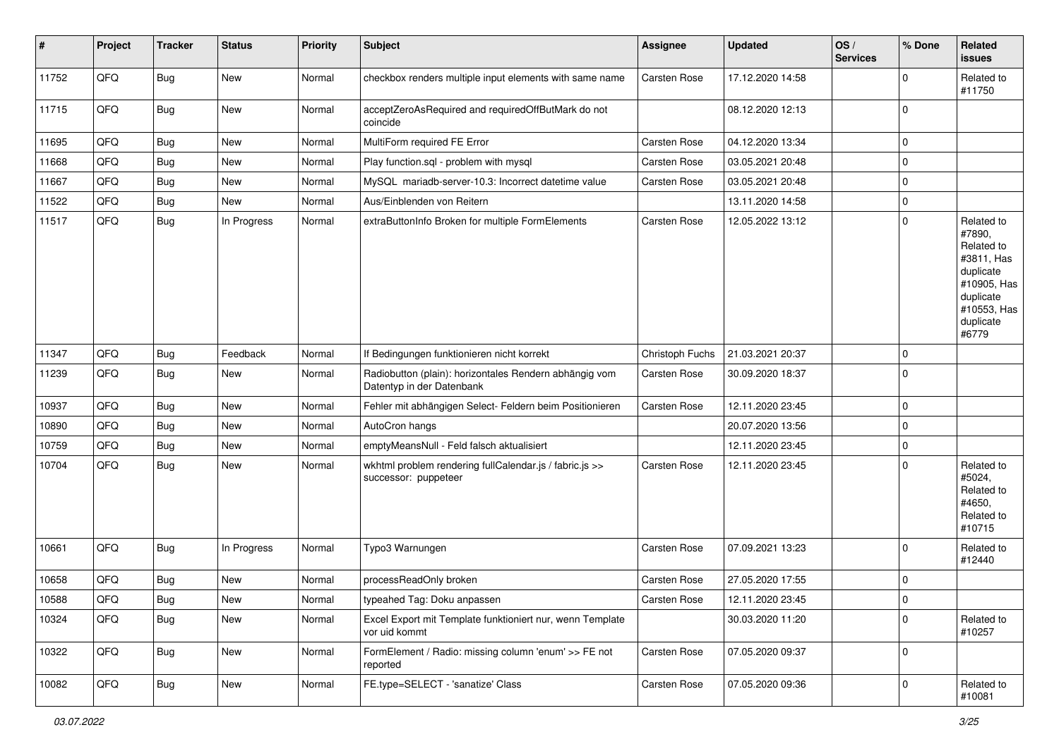| #     | Project | <b>Tracker</b> | <b>Status</b> | <b>Priority</b> | <b>Subject</b>                                                                      | <b>Assignee</b>     | <b>Updated</b>   | OS/<br><b>Services</b> | % Done      | Related<br>issues                                                                                                              |
|-------|---------|----------------|---------------|-----------------|-------------------------------------------------------------------------------------|---------------------|------------------|------------------------|-------------|--------------------------------------------------------------------------------------------------------------------------------|
| 11752 | QFQ     | <b>Bug</b>     | New           | Normal          | checkbox renders multiple input elements with same name                             | <b>Carsten Rose</b> | 17.12.2020 14:58 |                        | $\mathbf 0$ | Related to<br>#11750                                                                                                           |
| 11715 | QFQ     | Bug            | New           | Normal          | acceptZeroAsRequired and requiredOffButMark do not<br>coincide                      |                     | 08.12.2020 12:13 |                        | $\mathbf 0$ |                                                                                                                                |
| 11695 | QFQ     | Bug            | New           | Normal          | MultiForm required FE Error                                                         | Carsten Rose        | 04.12.2020 13:34 |                        | $\mathbf 0$ |                                                                                                                                |
| 11668 | QFQ     | <b>Bug</b>     | New           | Normal          | Play function.sql - problem with mysql                                              | Carsten Rose        | 03.05.2021 20:48 |                        | $\mathbf 0$ |                                                                                                                                |
| 11667 | QFQ     | <b>Bug</b>     | New           | Normal          | MySQL mariadb-server-10.3: Incorrect datetime value                                 | Carsten Rose        | 03.05.2021 20:48 |                        | $\mathbf 0$ |                                                                                                                                |
| 11522 | QFQ     | <b>Bug</b>     | New           | Normal          | Aus/Einblenden von Reitern                                                          |                     | 13.11.2020 14:58 |                        | $\mathbf 0$ |                                                                                                                                |
| 11517 | QFQ     | <b>Bug</b>     | In Progress   | Normal          | extraButtonInfo Broken for multiple FormElements                                    | Carsten Rose        | 12.05.2022 13:12 |                        | $\mathbf 0$ | Related to<br>#7890,<br>Related to<br>#3811, Has<br>duplicate<br>#10905, Has<br>duplicate<br>#10553, Has<br>duplicate<br>#6779 |
| 11347 | QFQ     | <b>Bug</b>     | Feedback      | Normal          | If Bedingungen funktionieren nicht korrekt                                          | Christoph Fuchs     | 21.03.2021 20:37 |                        | $\mathbf 0$ |                                                                                                                                |
| 11239 | QFQ     | <b>Bug</b>     | New           | Normal          | Radiobutton (plain): horizontales Rendern abhängig vom<br>Datentyp in der Datenbank | Carsten Rose        | 30.09.2020 18:37 |                        | $\mathbf 0$ |                                                                                                                                |
| 10937 | QFQ     | Bug            | New           | Normal          | Fehler mit abhängigen Select- Feldern beim Positionieren                            | <b>Carsten Rose</b> | 12.11.2020 23:45 |                        | $\mathbf 0$ |                                                                                                                                |
| 10890 | QFQ     | Bug            | New           | Normal          | AutoCron hangs                                                                      |                     | 20.07.2020 13:56 |                        | $\mathbf 0$ |                                                                                                                                |
| 10759 | QFQ     | <b>Bug</b>     | New           | Normal          | emptyMeansNull - Feld falsch aktualisiert                                           |                     | 12.11.2020 23:45 |                        | $\mathbf 0$ |                                                                                                                                |
| 10704 | QFQ     | Bug            | New           | Normal          | wkhtml problem rendering fullCalendar.js / fabric.js >><br>successor: puppeteer     | Carsten Rose        | 12.11.2020 23:45 |                        | $\Omega$    | Related to<br>#5024,<br>Related to<br>#4650,<br>Related to<br>#10715                                                           |
| 10661 | QFQ     | Bug            | In Progress   | Normal          | Typo3 Warnungen                                                                     | <b>Carsten Rose</b> | 07.09.2021 13:23 |                        | $\mathbf 0$ | Related to<br>#12440                                                                                                           |
| 10658 | QFQ     | <b>Bug</b>     | New           | Normal          | processReadOnly broken                                                              | Carsten Rose        | 27.05.2020 17:55 |                        | $\mathbf 0$ |                                                                                                                                |
| 10588 | QFG     | <b>Bug</b>     | New           | Normal          | typeahed Tag: Doku anpassen                                                         | Carsten Rose        | 12.11.2020 23:45 |                        | 0           |                                                                                                                                |
| 10324 | QFQ     | Bug            | New           | Normal          | Excel Export mit Template funktioniert nur, wenn Template<br>vor uid kommt          |                     | 30.03.2020 11:20 |                        | $\Omega$    | Related to<br>#10257                                                                                                           |
| 10322 | QFQ     | <b>Bug</b>     | New           | Normal          | FormElement / Radio: missing column 'enum' >> FE not<br>reported                    | Carsten Rose        | 07.05.2020 09:37 |                        | $\mathbf 0$ |                                                                                                                                |
| 10082 | QFQ     | <b>Bug</b>     | New           | Normal          | FE.type=SELECT - 'sanatize' Class                                                   | Carsten Rose        | 07.05.2020 09:36 |                        | $\mathbf 0$ | Related to<br>#10081                                                                                                           |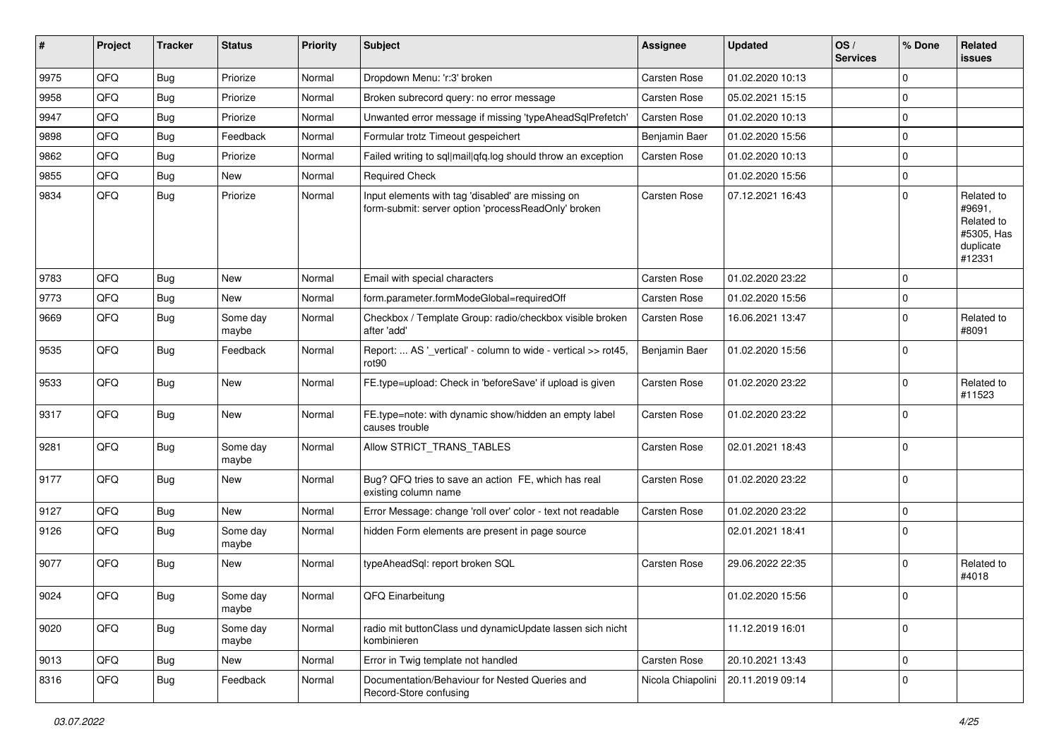| #    | Project | <b>Tracker</b> | <b>Status</b>     | <b>Priority</b> | <b>Subject</b>                                                                                           | <b>Assignee</b>     | <b>Updated</b>   | OS/<br><b>Services</b> | % Done      | Related<br>issues                                                       |
|------|---------|----------------|-------------------|-----------------|----------------------------------------------------------------------------------------------------------|---------------------|------------------|------------------------|-------------|-------------------------------------------------------------------------|
| 9975 | QFQ     | Bug            | Priorize          | Normal          | Dropdown Menu: 'r:3' broken                                                                              | <b>Carsten Rose</b> | 01.02.2020 10:13 |                        | $\Omega$    |                                                                         |
| 9958 | QFQ     | Bug            | Priorize          | Normal          | Broken subrecord query: no error message                                                                 | Carsten Rose        | 05.02.2021 15:15 |                        | $\mathbf 0$ |                                                                         |
| 9947 | QFQ     | Bug            | Priorize          | Normal          | Unwanted error message if missing 'typeAheadSqlPrefetch'                                                 | Carsten Rose        | 01.02.2020 10:13 |                        | $\mathbf 0$ |                                                                         |
| 9898 | QFQ     | Bug            | Feedback          | Normal          | Formular trotz Timeout gespeichert                                                                       | Benjamin Baer       | 01.02.2020 15:56 |                        | $\mathbf 0$ |                                                                         |
| 9862 | QFQ     | Bug            | Priorize          | Normal          | Failed writing to sql mail qfq.log should throw an exception                                             | Carsten Rose        | 01.02.2020 10:13 |                        | $\mathbf 0$ |                                                                         |
| 9855 | QFQ     | Bug            | New               | Normal          | <b>Required Check</b>                                                                                    |                     | 01.02.2020 15:56 |                        | $\mathbf 0$ |                                                                         |
| 9834 | QFQ     | Bug            | Priorize          | Normal          | Input elements with tag 'disabled' are missing on<br>form-submit: server option 'processReadOnly' broken | <b>Carsten Rose</b> | 07.12.2021 16:43 |                        | $\mathbf 0$ | Related to<br>#9691,<br>Related to<br>#5305, Has<br>duplicate<br>#12331 |
| 9783 | QFQ     | Bug            | New               | Normal          | Email with special characters                                                                            | <b>Carsten Rose</b> | 01.02.2020 23:22 |                        | $\mathbf 0$ |                                                                         |
| 9773 | QFQ     | Bug            | New               | Normal          | form.parameter.formModeGlobal=requiredOff                                                                | Carsten Rose        | 01.02.2020 15:56 |                        | $\mathbf 0$ |                                                                         |
| 9669 | QFQ     | Bug            | Some day<br>maybe | Normal          | Checkbox / Template Group: radio/checkbox visible broken<br>after 'add'                                  | <b>Carsten Rose</b> | 16.06.2021 13:47 |                        | $\Omega$    | Related to<br>#8091                                                     |
| 9535 | QFQ     | Bug            | Feedback          | Normal          | Report:  AS '_vertical' - column to wide - vertical >> rot45,<br>rot <sub>90</sub>                       | Benjamin Baer       | 01.02.2020 15:56 |                        | $\mathbf 0$ |                                                                         |
| 9533 | QFQ     | Bug            | New               | Normal          | FE.type=upload: Check in 'beforeSave' if upload is given                                                 | <b>Carsten Rose</b> | 01.02.2020 23:22 |                        | $\mathbf 0$ | Related to<br>#11523                                                    |
| 9317 | QFQ     | Bug            | New               | Normal          | FE.type=note: with dynamic show/hidden an empty label<br>causes trouble                                  | Carsten Rose        | 01.02.2020 23:22 |                        | $\mathbf 0$ |                                                                         |
| 9281 | QFQ     | Bug            | Some day<br>maybe | Normal          | Allow STRICT_TRANS_TABLES                                                                                | <b>Carsten Rose</b> | 02.01.2021 18:43 |                        | $\mathbf 0$ |                                                                         |
| 9177 | QFQ     | Bug            | New               | Normal          | Bug? QFQ tries to save an action FE, which has real<br>existing column name                              | <b>Carsten Rose</b> | 01.02.2020 23:22 |                        | $\mathbf 0$ |                                                                         |
| 9127 | QFQ     | Bug            | New               | Normal          | Error Message: change 'roll over' color - text not readable                                              | Carsten Rose        | 01.02.2020 23:22 |                        | $\mathbf 0$ |                                                                         |
| 9126 | QFQ     | Bug            | Some day<br>maybe | Normal          | hidden Form elements are present in page source                                                          |                     | 02.01.2021 18:41 |                        | $\mathbf 0$ |                                                                         |
| 9077 | QFQ     | Bug            | New               | Normal          | typeAheadSql: report broken SQL                                                                          | <b>Carsten Rose</b> | 29.06.2022 22:35 |                        | $\Omega$    | Related to<br>#4018                                                     |
| 9024 | QFQ     | Bug            | Some day<br>maybe | Normal          | QFQ Einarbeitung                                                                                         |                     | 01.02.2020 15:56 |                        | $\mathbf 0$ |                                                                         |
| 9020 | QFQ     | Bug            | Some day<br>maybe | Normal          | radio mit buttonClass und dynamicUpdate lassen sich nicht<br>kombinieren                                 |                     | 11.12.2019 16:01 |                        | $\mathbf 0$ |                                                                         |
| 9013 | QFQ     | Bug            | New               | Normal          | Error in Twig template not handled                                                                       | Carsten Rose        | 20.10.2021 13:43 |                        | $\mathbf 0$ |                                                                         |
| 8316 | QFQ     | Bug            | Feedback          | Normal          | Documentation/Behaviour for Nested Queries and<br>Record-Store confusing                                 | Nicola Chiapolini   | 20.11.2019 09:14 |                        | $\mathbf 0$ |                                                                         |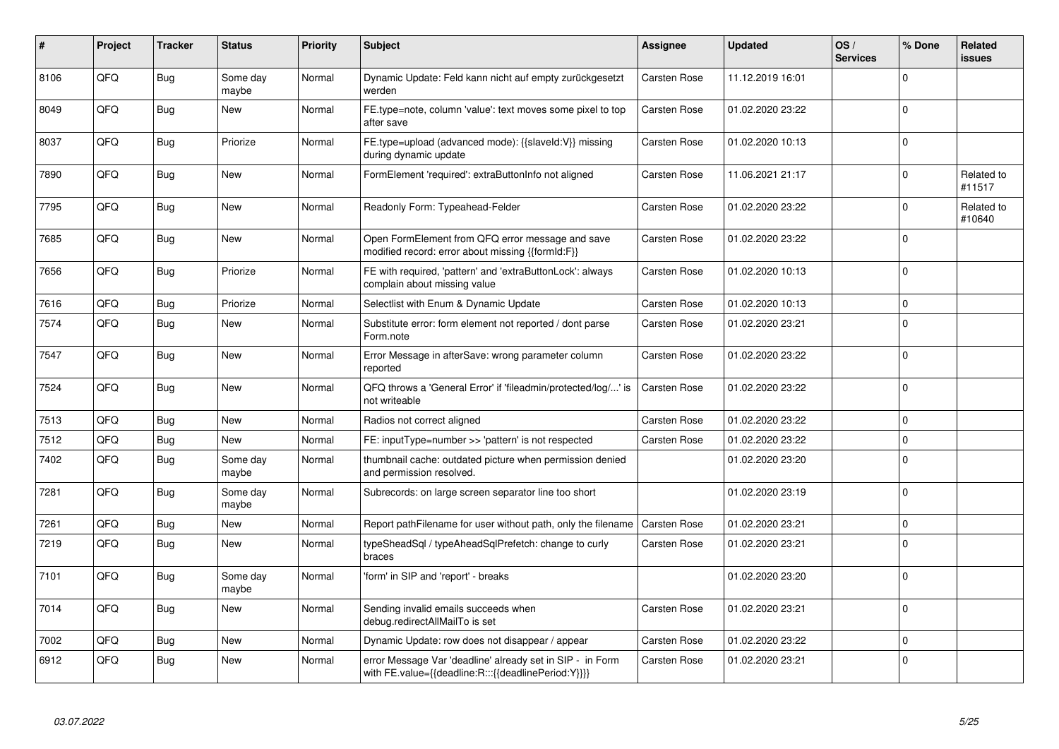| #    | Project | <b>Tracker</b> | <b>Status</b>     | <b>Priority</b> | <b>Subject</b>                                                                                                   | Assignee            | <b>Updated</b>   | OS/<br><b>Services</b> | % Done         | Related<br>issues    |
|------|---------|----------------|-------------------|-----------------|------------------------------------------------------------------------------------------------------------------|---------------------|------------------|------------------------|----------------|----------------------|
| 8106 | QFQ     | Bug            | Some day<br>maybe | Normal          | Dynamic Update: Feld kann nicht auf empty zurückgesetzt<br>werden                                                | <b>Carsten Rose</b> | 11.12.2019 16:01 |                        | $\Omega$       |                      |
| 8049 | QFQ     | Bug            | New               | Normal          | FE.type=note, column 'value': text moves some pixel to top<br>after save                                         | Carsten Rose        | 01.02.2020 23:22 |                        | $\Omega$       |                      |
| 8037 | QFQ     | <b>Bug</b>     | Priorize          | Normal          | FE.type=upload (advanced mode): {{slaveld:V}} missing<br>during dynamic update                                   | Carsten Rose        | 01.02.2020 10:13 |                        | $\overline{0}$ |                      |
| 7890 | QFQ     | Bug            | <b>New</b>        | Normal          | FormElement 'required': extraButtonInfo not aligned                                                              | <b>Carsten Rose</b> | 11.06.2021 21:17 |                        | $\Omega$       | Related to<br>#11517 |
| 7795 | QFQ     | Bug            | <b>New</b>        | Normal          | Readonly Form: Typeahead-Felder                                                                                  | <b>Carsten Rose</b> | 01.02.2020 23:22 |                        | $\Omega$       | Related to<br>#10640 |
| 7685 | QFQ     | Bug            | New               | Normal          | Open FormElement from QFQ error message and save<br>modified record: error about missing {{formId:F}}            | <b>Carsten Rose</b> | 01.02.2020 23:22 |                        | $\Omega$       |                      |
| 7656 | QFQ     | Bug            | Priorize          | Normal          | FE with required, 'pattern' and 'extraButtonLock': always<br>complain about missing value                        | Carsten Rose        | 01.02.2020 10:13 |                        | $\overline{0}$ |                      |
| 7616 | QFQ     | Bug            | Priorize          | Normal          | Selectlist with Enum & Dynamic Update                                                                            | Carsten Rose        | 01.02.2020 10:13 |                        | $\Omega$       |                      |
| 7574 | QFQ     | Bug            | New               | Normal          | Substitute error: form element not reported / dont parse<br>Form.note                                            | <b>Carsten Rose</b> | 01.02.2020 23:21 |                        | 0              |                      |
| 7547 | QFQ     | Bug            | New               | Normal          | Error Message in afterSave: wrong parameter column<br>reported                                                   | Carsten Rose        | 01.02.2020 23:22 |                        | $\Omega$       |                      |
| 7524 | QFQ     | Bug            | New               | Normal          | QFQ throws a 'General Error' if 'fileadmin/protected/log/' is<br>not writeable                                   | <b>Carsten Rose</b> | 01.02.2020 23:22 |                        | $\Omega$       |                      |
| 7513 | QFQ     | Bug            | New               | Normal          | Radios not correct aligned                                                                                       | <b>Carsten Rose</b> | 01.02.2020 23:22 |                        | $\Omega$       |                      |
| 7512 | QFQ     | Bug            | <b>New</b>        | Normal          | FE: inputType=number >> 'pattern' is not respected                                                               | <b>Carsten Rose</b> | 01.02.2020 23:22 |                        | $\Omega$       |                      |
| 7402 | QFQ     | Bug            | Some day<br>maybe | Normal          | thumbnail cache: outdated picture when permission denied<br>and permission resolved.                             |                     | 01.02.2020 23:20 |                        | $\Omega$       |                      |
| 7281 | QFQ     | Bug            | Some day<br>maybe | Normal          | Subrecords: on large screen separator line too short                                                             |                     | 01.02.2020 23:19 |                        | $\Omega$       |                      |
| 7261 | QFQ     | Bug            | New               | Normal          | Report pathFilename for user without path, only the filename                                                     | <b>Carsten Rose</b> | 01.02.2020 23:21 |                        | $\Omega$       |                      |
| 7219 | QFQ     | Bug            | New               | Normal          | typeSheadSql / typeAheadSqlPrefetch: change to curly<br>braces                                                   | Carsten Rose        | 01.02.2020 23:21 |                        | $\Omega$       |                      |
| 7101 | QFQ     | Bug            | Some day<br>maybe | Normal          | 'form' in SIP and 'report' - breaks                                                                              |                     | 01.02.2020 23:20 |                        | $\overline{0}$ |                      |
| 7014 | QFQ     | Bug            | New               | Normal          | Sending invalid emails succeeds when<br>debug.redirectAllMailTo is set                                           | <b>Carsten Rose</b> | 01.02.2020 23:21 |                        | $\Omega$       |                      |
| 7002 | QFQ     | Bug            | New               | Normal          | Dynamic Update: row does not disappear / appear                                                                  | <b>Carsten Rose</b> | 01.02.2020 23:22 |                        | $\overline{0}$ |                      |
| 6912 | QFQ     | Bug            | New               | Normal          | error Message Var 'deadline' already set in SIP - in Form<br>with FE.value={{deadline:R:::{{deadlinePeriod:Y}}}} | Carsten Rose        | 01.02.2020 23:21 |                        | $\overline{0}$ |                      |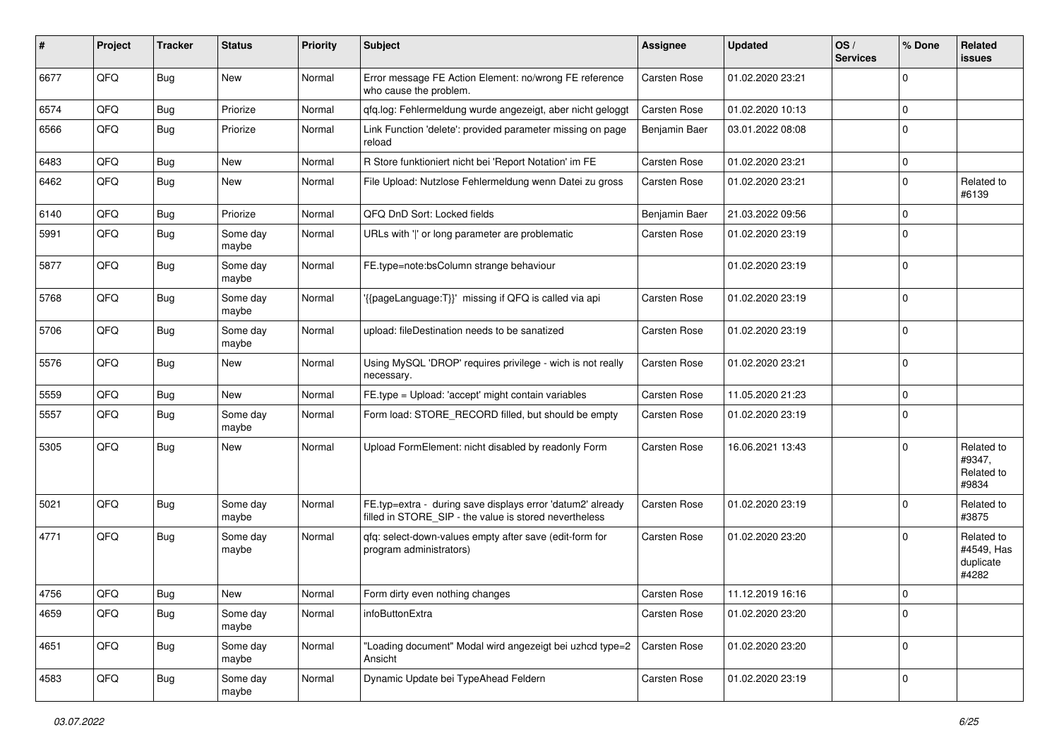| #    | Project | <b>Tracker</b> | <b>Status</b>     | <b>Priority</b> | Subject                                                                                                              | <b>Assignee</b>     | <b>Updated</b>   | OS/<br><b>Services</b> | % Done      | Related<br>issues                              |
|------|---------|----------------|-------------------|-----------------|----------------------------------------------------------------------------------------------------------------------|---------------------|------------------|------------------------|-------------|------------------------------------------------|
| 6677 | QFQ     | Bug            | New               | Normal          | Error message FE Action Element: no/wrong FE reference<br>who cause the problem.                                     | Carsten Rose        | 01.02.2020 23:21 |                        | 0           |                                                |
| 6574 | QFQ     | Bug            | Priorize          | Normal          | qfq.log: Fehlermeldung wurde angezeigt, aber nicht geloggt                                                           | <b>Carsten Rose</b> | 01.02.2020 10:13 |                        | $\Omega$    |                                                |
| 6566 | QFQ     | Bug            | Priorize          | Normal          | Link Function 'delete': provided parameter missing on page<br>reload                                                 | Benjamin Baer       | 03.01.2022 08:08 |                        | $\Omega$    |                                                |
| 6483 | QFQ     | Bug            | New               | Normal          | R Store funktioniert nicht bei 'Report Notation' im FE                                                               | Carsten Rose        | 01.02.2020 23:21 |                        | $\Omega$    |                                                |
| 6462 | QFQ     | Bug            | New               | Normal          | File Upload: Nutzlose Fehlermeldung wenn Datei zu gross                                                              | <b>Carsten Rose</b> | 01.02.2020 23:21 |                        | $\mathbf 0$ | Related to<br>#6139                            |
| 6140 | QFQ     | Bug            | Priorize          | Normal          | QFQ DnD Sort: Locked fields                                                                                          | Benjamin Baer       | 21.03.2022 09:56 |                        | $\Omega$    |                                                |
| 5991 | QFQ     | Bug            | Some day<br>maybe | Normal          | URLs with ' ' or long parameter are problematic                                                                      | Carsten Rose        | 01.02.2020 23:19 |                        | $\Omega$    |                                                |
| 5877 | QFQ     | Bug            | Some day<br>maybe | Normal          | FE.type=note:bsColumn strange behaviour                                                                              |                     | 01.02.2020 23:19 |                        | $\mathbf 0$ |                                                |
| 5768 | QFQ     | Bug            | Some day<br>maybe | Normal          | {{pageLanguage:T}}' missing if QFQ is called via api                                                                 | Carsten Rose        | 01.02.2020 23:19 |                        | $\Omega$    |                                                |
| 5706 | QFQ     | Bug            | Some day<br>maybe | Normal          | upload: fileDestination needs to be sanatized                                                                        | Carsten Rose        | 01.02.2020 23:19 |                        | $\Omega$    |                                                |
| 5576 | QFQ     | Bug            | New               | Normal          | Using MySQL 'DROP' requires privilege - wich is not really<br>necessary.                                             | Carsten Rose        | 01.02.2020 23:21 |                        | $\mathbf 0$ |                                                |
| 5559 | QFQ     | <b>Bug</b>     | New               | Normal          | FE.type = Upload: 'accept' might contain variables                                                                   | Carsten Rose        | 11.05.2020 21:23 |                        | $\Omega$    |                                                |
| 5557 | QFQ     | <b>Bug</b>     | Some day<br>maybe | Normal          | Form load: STORE_RECORD filled, but should be empty                                                                  | Carsten Rose        | 01.02.2020 23:19 |                        | $\Omega$    |                                                |
| 5305 | QFQ     | <b>Bug</b>     | New               | Normal          | Upload FormElement: nicht disabled by readonly Form                                                                  | Carsten Rose        | 16.06.2021 13:43 |                        | $\Omega$    | Related to<br>#9347,<br>Related to<br>#9834    |
| 5021 | QFQ     | Bug            | Some day<br>maybe | Normal          | FE.typ=extra - during save displays error 'datum2' already<br>filled in STORE_SIP - the value is stored nevertheless | Carsten Rose        | 01.02.2020 23:19 |                        | $\Omega$    | Related to<br>#3875                            |
| 4771 | QFQ     | Bug            | Some day<br>maybe | Normal          | qfq: select-down-values empty after save (edit-form for<br>program administrators)                                   | <b>Carsten Rose</b> | 01.02.2020 23:20 |                        | $\Omega$    | Related to<br>#4549, Has<br>duplicate<br>#4282 |
| 4756 | QFQ     | Bug            | New               | Normal          | Form dirty even nothing changes                                                                                      | <b>Carsten Rose</b> | 11.12.2019 16:16 |                        | $\Omega$    |                                                |
| 4659 | QFQ     | <b>Bug</b>     | Some day<br>maybe | Normal          | infoButtonExtra                                                                                                      | Carsten Rose        | 01.02.2020 23:20 |                        | $\mathbf 0$ |                                                |
| 4651 | QFQ     | <b>Bug</b>     | Some day<br>maybe | Normal          | 'Loading document" Modal wird angezeigt bei uzhcd type=2<br>Ansicht                                                  | Carsten Rose        | 01.02.2020 23:20 |                        | $\mathbf 0$ |                                                |
| 4583 | QFQ     | Bug            | Some day<br>maybe | Normal          | Dynamic Update bei TypeAhead Feldern                                                                                 | Carsten Rose        | 01.02.2020 23:19 |                        | 0           |                                                |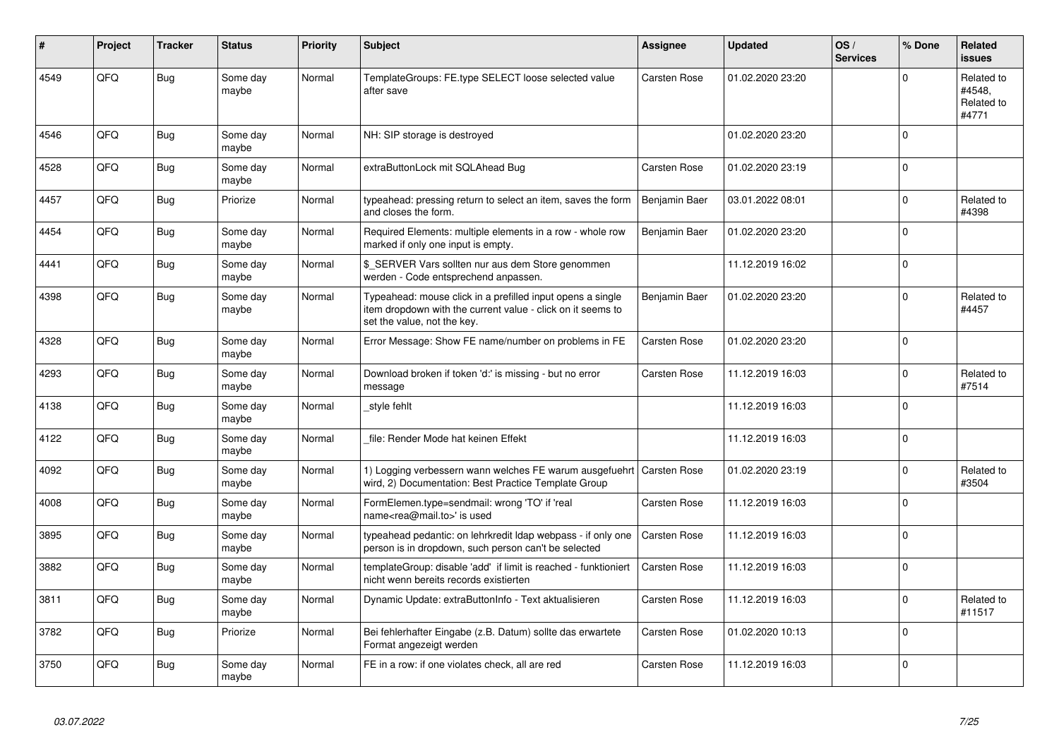| #    | Project | <b>Tracker</b> | <b>Status</b>     | <b>Priority</b> | <b>Subject</b>                                                                                                                                           | Assignee            | <b>Updated</b>   | OS/<br><b>Services</b> | % Done   | <b>Related</b><br><b>issues</b>             |
|------|---------|----------------|-------------------|-----------------|----------------------------------------------------------------------------------------------------------------------------------------------------------|---------------------|------------------|------------------------|----------|---------------------------------------------|
| 4549 | QFQ     | <b>Bug</b>     | Some day<br>maybe | Normal          | TemplateGroups: FE.type SELECT loose selected value<br>after save                                                                                        | <b>Carsten Rose</b> | 01.02.2020 23:20 |                        | $\Omega$ | Related to<br>#4548.<br>Related to<br>#4771 |
| 4546 | QFQ     | Bug            | Some day<br>maybe | Normal          | NH: SIP storage is destroyed                                                                                                                             |                     | 01.02.2020 23:20 |                        | $\Omega$ |                                             |
| 4528 | QFQ     | <b>Bug</b>     | Some day<br>maybe | Normal          | extraButtonLock mit SQLAhead Bug                                                                                                                         | Carsten Rose        | 01.02.2020 23:19 |                        | $\Omega$ |                                             |
| 4457 | QFQ     | <b>Bug</b>     | Priorize          | Normal          | typeahead: pressing return to select an item, saves the form<br>and closes the form.                                                                     | Benjamin Baer       | 03.01.2022 08:01 |                        | $\Omega$ | Related to<br>#4398                         |
| 4454 | QFQ     | <b>Bug</b>     | Some day<br>maybe | Normal          | Required Elements: multiple elements in a row - whole row<br>marked if only one input is empty.                                                          | Benjamin Baer       | 01.02.2020 23:20 |                        | $\Omega$ |                                             |
| 4441 | QFQ     | <b>Bug</b>     | Some day<br>maybe | Normal          | \$ SERVER Vars sollten nur aus dem Store genommen<br>werden - Code entsprechend anpassen.                                                                |                     | 11.12.2019 16:02 |                        | $\Omega$ |                                             |
| 4398 | QFQ     | Bug            | Some day<br>maybe | Normal          | Typeahead: mouse click in a prefilled input opens a single<br>item dropdown with the current value - click on it seems to<br>set the value, not the key. | Benjamin Baer       | 01.02.2020 23:20 |                        | $\Omega$ | Related to<br>#4457                         |
| 4328 | QFQ     | <b>Bug</b>     | Some day<br>maybe | Normal          | Error Message: Show FE name/number on problems in FE                                                                                                     | <b>Carsten Rose</b> | 01.02.2020 23:20 |                        | $\Omega$ |                                             |
| 4293 | QFQ     | <b>Bug</b>     | Some day<br>maybe | Normal          | Download broken if token 'd:' is missing - but no error<br>message                                                                                       | Carsten Rose        | 11.12.2019 16:03 |                        | $\Omega$ | Related to<br>#7514                         |
| 4138 | QFQ     | <b>Bug</b>     | Some day<br>maybe | Normal          | style fehlt                                                                                                                                              |                     | 11.12.2019 16:03 |                        | $\Omega$ |                                             |
| 4122 | QFQ     | <b>Bug</b>     | Some day<br>maybe | Normal          | file: Render Mode hat keinen Effekt                                                                                                                      |                     | 11.12.2019 16:03 |                        | $\Omega$ |                                             |
| 4092 | QFQ     | Bug            | Some day<br>maybe | Normal          | 1) Logging verbessern wann welches FE warum ausgefuehrt   Carsten Rose<br>wird, 2) Documentation: Best Practice Template Group                           |                     | 01.02.2020 23:19 |                        | $\Omega$ | Related to<br>#3504                         |
| 4008 | QFQ     | Bug            | Some day<br>maybe | Normal          | FormElemen.type=sendmail: wrong 'TO' if 'real<br>name <rea@mail.to>' is used</rea@mail.to>                                                               | <b>Carsten Rose</b> | 11.12.2019 16:03 |                        | $\Omega$ |                                             |
| 3895 | QFQ     | Bug            | Some day<br>maybe | Normal          | typeahead pedantic: on lehrkredit Idap webpass - if only one<br>person is in dropdown, such person can't be selected                                     | <b>Carsten Rose</b> | 11.12.2019 16:03 |                        | $\Omega$ |                                             |
| 3882 | QFQ     | Bug            | Some day<br>maybe | Normal          | templateGroup: disable 'add' if limit is reached - funktioniert<br>nicht wenn bereits records existierten                                                | <b>Carsten Rose</b> | 11.12.2019 16:03 |                        | $\Omega$ |                                             |
| 3811 | QFQ     | Bug            | Some day<br>maybe | Normal          | Dynamic Update: extraButtonInfo - Text aktualisieren                                                                                                     | Carsten Rose        | 11.12.2019 16:03 |                        | $\Omega$ | Related to<br>#11517                        |
| 3782 | QFQ     | <b>Bug</b>     | Priorize          | Normal          | Bei fehlerhafter Eingabe (z.B. Datum) sollte das erwartete<br>Format angezeigt werden                                                                    | <b>Carsten Rose</b> | 01.02.2020 10:13 |                        | $\Omega$ |                                             |
| 3750 | QFQ     | <b>Bug</b>     | Some day<br>maybe | Normal          | FE in a row: if one violates check, all are red                                                                                                          | Carsten Rose        | 11.12.2019 16:03 |                        | $\Omega$ |                                             |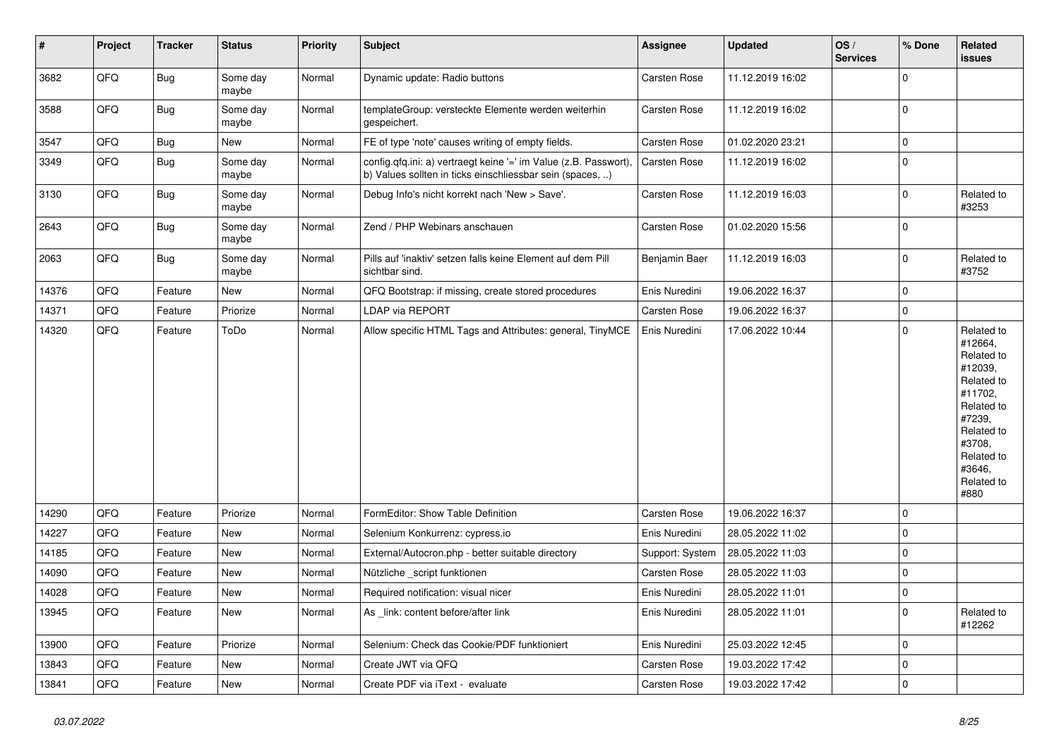| $\vert$ # | Project | <b>Tracker</b> | <b>Status</b>     | <b>Priority</b> | <b>Subject</b>                                                                                                                | <b>Assignee</b>     | <b>Updated</b>   | OS/<br><b>Services</b> | % Done      | Related<br><b>issues</b>                                                                                                                                              |
|-----------|---------|----------------|-------------------|-----------------|-------------------------------------------------------------------------------------------------------------------------------|---------------------|------------------|------------------------|-------------|-----------------------------------------------------------------------------------------------------------------------------------------------------------------------|
| 3682      | QFQ     | <b>Bug</b>     | Some day<br>maybe | Normal          | Dynamic update: Radio buttons                                                                                                 | Carsten Rose        | 11.12.2019 16:02 |                        | $\Omega$    |                                                                                                                                                                       |
| 3588      | QFQ     | Bug            | Some day<br>maybe | Normal          | templateGroup: versteckte Elemente werden weiterhin<br>gespeichert.                                                           | Carsten Rose        | 11.12.2019 16:02 |                        | $\mathbf 0$ |                                                                                                                                                                       |
| 3547      | QFQ     | Bug            | New               | Normal          | FE of type 'note' causes writing of empty fields.                                                                             | Carsten Rose        | 01.02.2020 23:21 |                        | $\pmb{0}$   |                                                                                                                                                                       |
| 3349      | QFQ     | Bug            | Some day<br>maybe | Normal          | config.qfq.ini: a) vertraegt keine '=' im Value (z.B. Passwort),<br>b) Values sollten in ticks einschliessbar sein (spaces, ) | Carsten Rose        | 11.12.2019 16:02 |                        | $\pmb{0}$   |                                                                                                                                                                       |
| 3130      | QFQ     | Bug            | Some day<br>maybe | Normal          | Debug Info's nicht korrekt nach 'New > Save'.                                                                                 | Carsten Rose        | 11.12.2019 16:03 |                        | $\Omega$    | Related to<br>#3253                                                                                                                                                   |
| 2643      | QFQ     | Bug            | Some day<br>maybe | Normal          | Zend / PHP Webinars anschauen                                                                                                 | Carsten Rose        | 01.02.2020 15:56 |                        | $\mathbf 0$ |                                                                                                                                                                       |
| 2063      | QFQ     | Bug            | Some day<br>maybe | Normal          | Pills auf 'inaktiv' setzen falls keine Element auf dem Pill<br>sichtbar sind.                                                 | Benjamin Baer       | 11.12.2019 16:03 |                        | $\mathbf 0$ | Related to<br>#3752                                                                                                                                                   |
| 14376     | QFQ     | Feature        | <b>New</b>        | Normal          | QFQ Bootstrap: if missing, create stored procedures                                                                           | Enis Nuredini       | 19.06.2022 16:37 |                        | $\mathbf 0$ |                                                                                                                                                                       |
| 14371     | QFQ     | Feature        | Priorize          | Normal          | <b>LDAP via REPORT</b>                                                                                                        | Carsten Rose        | 19.06.2022 16:37 |                        | $\mathbf 0$ |                                                                                                                                                                       |
| 14320     | QFQ     | Feature        | ToDo              | Normal          | Allow specific HTML Tags and Attributes: general, TinyMCE                                                                     | Enis Nuredini       | 17.06.2022 10:44 |                        | $\mathbf 0$ | Related to<br>#12664,<br>Related to<br>#12039,<br>Related to<br>#11702,<br>Related to<br>#7239,<br>Related to<br>#3708,<br>Related to<br>#3646,<br>Related to<br>#880 |
| 14290     | QFQ     | Feature        | Priorize          | Normal          | FormEditor: Show Table Definition                                                                                             | Carsten Rose        | 19.06.2022 16:37 |                        | $\mathbf 0$ |                                                                                                                                                                       |
| 14227     | QFQ     | Feature        | <b>New</b>        | Normal          | Selenium Konkurrenz: cypress.io                                                                                               | Enis Nuredini       | 28.05.2022 11:02 |                        | $\mathbf 0$ |                                                                                                                                                                       |
| 14185     | QFQ     | Feature        | <b>New</b>        | Normal          | External/Autocron.php - better suitable directory                                                                             | Support: System     | 28.05.2022 11:03 |                        | $\mathbf 0$ |                                                                                                                                                                       |
| 14090     | QFQ     | Feature        | <b>New</b>        | Normal          | Nützliche script funktionen                                                                                                   | Carsten Rose        | 28.05.2022 11:03 |                        | $\mathbf 0$ |                                                                                                                                                                       |
| 14028     | QFQ     | Feature        | <b>New</b>        | Normal          | Required notification: visual nicer                                                                                           | Enis Nuredini       | 28.05.2022 11:01 |                        | 0           |                                                                                                                                                                       |
| 13945     | QFQ     | Feature        | New               | Normal          | As link: content before/after link                                                                                            | Enis Nuredini       | 28.05.2022 11:01 |                        | $\mathbf 0$ | Related to<br>#12262                                                                                                                                                  |
| 13900     | QFQ     | Feature        | Priorize          | Normal          | Selenium: Check das Cookie/PDF funktioniert                                                                                   | Enis Nuredini       | 25.03.2022 12:45 |                        | $\mathbf 0$ |                                                                                                                                                                       |
| 13843     | QFQ     | Feature        | <b>New</b>        | Normal          | Create JWT via QFQ                                                                                                            | <b>Carsten Rose</b> | 19.03.2022 17:42 |                        | $\mathbf 0$ |                                                                                                                                                                       |
| 13841     | QFQ     | Feature        | New               | Normal          | Create PDF via iText - evaluate                                                                                               | Carsten Rose        | 19.03.2022 17:42 |                        | $\mathbf 0$ |                                                                                                                                                                       |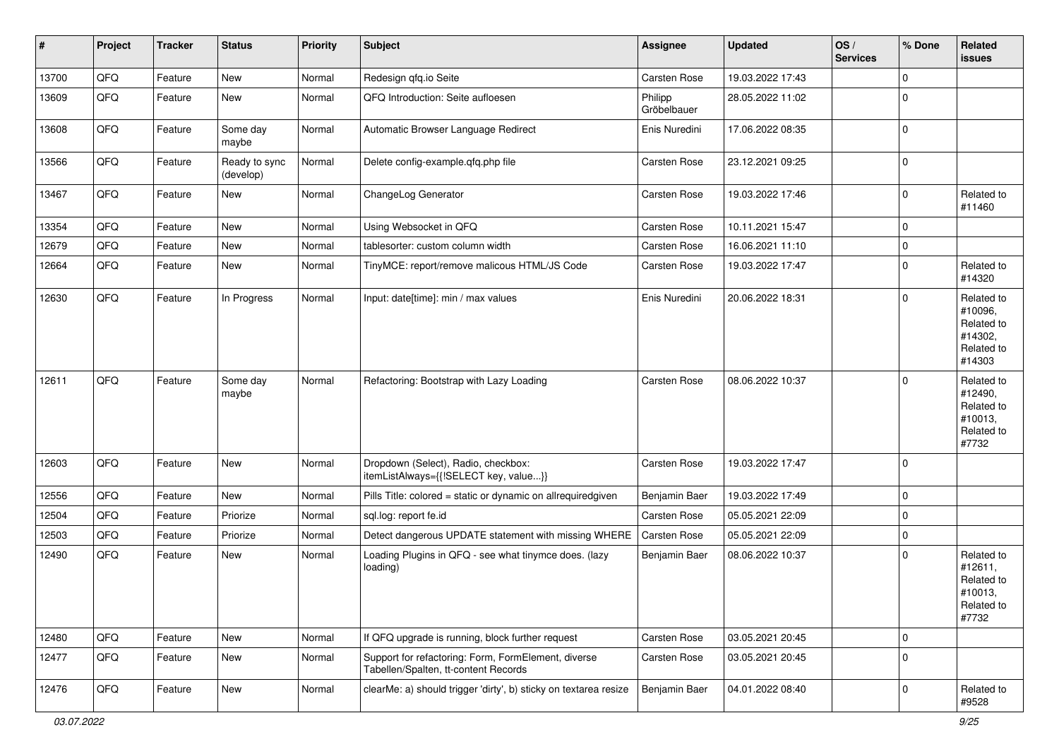| $\sharp$ | Project | <b>Tracker</b> | <b>Status</b>              | <b>Priority</b> | Subject                                                                                     | <b>Assignee</b>        | <b>Updated</b>   | OS/<br><b>Services</b> | % Done      | Related<br>issues                                                      |
|----------|---------|----------------|----------------------------|-----------------|---------------------------------------------------------------------------------------------|------------------------|------------------|------------------------|-------------|------------------------------------------------------------------------|
| 13700    | QFQ     | Feature        | New                        | Normal          | Redesign qfq.io Seite                                                                       | Carsten Rose           | 19.03.2022 17:43 |                        | $\mathbf 0$ |                                                                        |
| 13609    | QFQ     | Feature        | New                        | Normal          | QFQ Introduction: Seite aufloesen                                                           | Philipp<br>Gröbelbauer | 28.05.2022 11:02 |                        | $\mathbf 0$ |                                                                        |
| 13608    | QFQ     | Feature        | Some day<br>maybe          | Normal          | Automatic Browser Language Redirect                                                         | Enis Nuredini          | 17.06.2022 08:35 |                        | $\mathbf 0$ |                                                                        |
| 13566    | QFQ     | Feature        | Ready to sync<br>(develop) | Normal          | Delete config-example.qfq.php file                                                          | Carsten Rose           | 23.12.2021 09:25 |                        | 0           |                                                                        |
| 13467    | QFQ     | Feature        | New                        | Normal          | ChangeLog Generator                                                                         | Carsten Rose           | 19.03.2022 17:46 |                        | $\Omega$    | Related to<br>#11460                                                   |
| 13354    | QFQ     | Feature        | New                        | Normal          | Using Websocket in QFQ                                                                      | Carsten Rose           | 10.11.2021 15:47 |                        | 0           |                                                                        |
| 12679    | QFQ     | Feature        | <b>New</b>                 | Normal          | tablesorter: custom column width                                                            | Carsten Rose           | 16.06.2021 11:10 |                        | $\mathbf 0$ |                                                                        |
| 12664    | QFQ     | Feature        | New                        | Normal          | TinyMCE: report/remove malicous HTML/JS Code                                                | Carsten Rose           | 19.03.2022 17:47 |                        | $\Omega$    | Related to<br>#14320                                                   |
| 12630    | QFQ     | Feature        | In Progress                | Normal          | Input: date[time]: min / max values                                                         | Enis Nuredini          | 20.06.2022 18:31 |                        | $\mathbf 0$ | Related to<br>#10096,<br>Related to<br>#14302,<br>Related to<br>#14303 |
| 12611    | QFQ     | Feature        | Some day<br>maybe          | Normal          | Refactoring: Bootstrap with Lazy Loading                                                    | <b>Carsten Rose</b>    | 08.06.2022 10:37 |                        | $\Omega$    | Related to<br>#12490,<br>Related to<br>#10013,<br>Related to<br>#7732  |
| 12603    | QFQ     | Feature        | <b>New</b>                 | Normal          | Dropdown (Select), Radio, checkbox:<br>itemListAlways={{!SELECT key, value}}                | Carsten Rose           | 19.03.2022 17:47 |                        | $\mathbf 0$ |                                                                        |
| 12556    | QFQ     | Feature        | New                        | Normal          | Pills Title: colored = static or dynamic on allrequiredgiven                                | Benjamin Baer          | 19.03.2022 17:49 |                        | $\Omega$    |                                                                        |
| 12504    | QFQ     | Feature        | Priorize                   | Normal          | sql.log: report fe.id                                                                       | Carsten Rose           | 05.05.2021 22:09 |                        | $\mathbf 0$ |                                                                        |
| 12503    | QFQ     | Feature        | Priorize                   | Normal          | Detect dangerous UPDATE statement with missing WHERE                                        | Carsten Rose           | 05.05.2021 22:09 |                        | 0           |                                                                        |
| 12490    | QFQ     | Feature        | New                        | Normal          | Loading Plugins in QFQ - see what tinymce does. (lazy<br>loading)                           | Benjamin Baer          | 08.06.2022 10:37 |                        | $\mathbf 0$ | Related to<br>#12611,<br>Related to<br>#10013,<br>Related to<br>#7732  |
| 12480    | QFQ     | Feature        | New                        | Normal          | If QFQ upgrade is running, block further request                                            | Carsten Rose           | 03.05.2021 20:45 |                        | 0           |                                                                        |
| 12477    | QFQ     | Feature        | New                        | Normal          | Support for refactoring: Form, FormElement, diverse<br>Tabellen/Spalten, tt-content Records | Carsten Rose           | 03.05.2021 20:45 |                        | $\mathbf 0$ |                                                                        |
| 12476    | QFQ     | Feature        | New                        | Normal          | clearMe: a) should trigger 'dirty', b) sticky on textarea resize                            | Benjamin Baer          | 04.01.2022 08:40 |                        | 0           | Related to<br>#9528                                                    |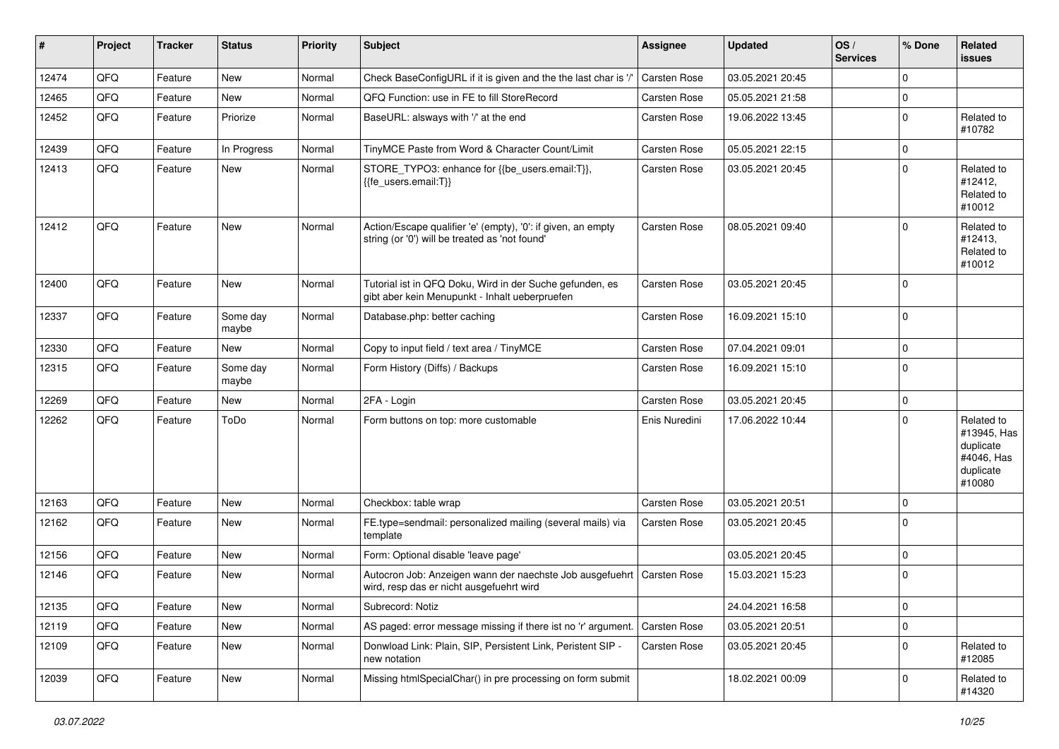| $\pmb{\#}$ | Project | <b>Tracker</b> | <b>Status</b>     | <b>Priority</b> | <b>Subject</b>                                                                                                 | <b>Assignee</b>     | <b>Updated</b>   | OS/<br><b>Services</b> | % Done      | Related<br><b>issues</b>                                                    |
|------------|---------|----------------|-------------------|-----------------|----------------------------------------------------------------------------------------------------------------|---------------------|------------------|------------------------|-------------|-----------------------------------------------------------------------------|
| 12474      | QFQ     | Feature        | <b>New</b>        | Normal          | Check BaseConfigURL if it is given and the the last char is '/'                                                | <b>Carsten Rose</b> | 03.05.2021 20:45 |                        | $\mathbf 0$ |                                                                             |
| 12465      | QFQ     | Feature        | New               | Normal          | QFQ Function: use in FE to fill StoreRecord                                                                    | Carsten Rose        | 05.05.2021 21:58 |                        | $\mathbf 0$ |                                                                             |
| 12452      | QFQ     | Feature        | Priorize          | Normal          | BaseURL: alsways with '/' at the end                                                                           | Carsten Rose        | 19.06.2022 13:45 |                        | $\mathbf 0$ | Related to<br>#10782                                                        |
| 12439      | QFQ     | Feature        | In Progress       | Normal          | TinyMCE Paste from Word & Character Count/Limit                                                                | Carsten Rose        | 05.05.2021 22:15 |                        | $\mathbf 0$ |                                                                             |
| 12413      | QFQ     | Feature        | New               | Normal          | STORE_TYPO3: enhance for {{be_users.email:T}},<br>{{fe users.email:T}}                                         | Carsten Rose        | 03.05.2021 20:45 |                        | $\mathbf 0$ | Related to<br>#12412,<br>Related to<br>#10012                               |
| 12412      | QFQ     | Feature        | <b>New</b>        | Normal          | Action/Escape qualifier 'e' (empty), '0': if given, an empty<br>string (or '0') will be treated as 'not found' | Carsten Rose        | 08.05.2021 09:40 |                        | $\Omega$    | Related to<br>#12413,<br>Related to<br>#10012                               |
| 12400      | QFQ     | Feature        | New               | Normal          | Tutorial ist in QFQ Doku, Wird in der Suche gefunden, es<br>gibt aber kein Menupunkt - Inhalt ueberpruefen     | Carsten Rose        | 03.05.2021 20:45 |                        | $\Omega$    |                                                                             |
| 12337      | QFQ     | Feature        | Some day<br>maybe | Normal          | Database.php: better caching                                                                                   | <b>Carsten Rose</b> | 16.09.2021 15:10 |                        | $\mathbf 0$ |                                                                             |
| 12330      | QFQ     | Feature        | New               | Normal          | Copy to input field / text area / TinyMCE                                                                      | Carsten Rose        | 07.04.2021 09:01 |                        | $\mathbf 0$ |                                                                             |
| 12315      | QFQ     | Feature        | Some day<br>maybe | Normal          | Form History (Diffs) / Backups                                                                                 | Carsten Rose        | 16.09.2021 15:10 |                        | $\mathbf 0$ |                                                                             |
| 12269      | QFQ     | Feature        | New               | Normal          | 2FA - Login                                                                                                    | Carsten Rose        | 03.05.2021 20:45 |                        | $\mathbf 0$ |                                                                             |
| 12262      | QFQ     | Feature        | ToDo              | Normal          | Form buttons on top: more customable                                                                           | Enis Nuredini       | 17.06.2022 10:44 |                        | $\mathbf 0$ | Related to<br>#13945, Has<br>duplicate<br>#4046, Has<br>duplicate<br>#10080 |
| 12163      | QFQ     | Feature        | New               | Normal          | Checkbox: table wrap                                                                                           | Carsten Rose        | 03.05.2021 20:51 |                        | $\mathbf 0$ |                                                                             |
| 12162      | QFQ     | Feature        | <b>New</b>        | Normal          | FE.type=sendmail: personalized mailing (several mails) via<br>template                                         | Carsten Rose        | 03.05.2021 20:45 |                        | $\mathbf 0$ |                                                                             |
| 12156      | QFQ     | Feature        | <b>New</b>        | Normal          | Form: Optional disable 'leave page'                                                                            |                     | 03.05.2021 20:45 |                        | $\mathbf 0$ |                                                                             |
| 12146      | QFQ     | Feature        | New               | Normal          | Autocron Job: Anzeigen wann der naechste Job ausgefuehrt<br>wird, resp das er nicht ausgefuehrt wird           | <b>Carsten Rose</b> | 15.03.2021 15:23 |                        | $\mathbf 0$ |                                                                             |
| 12135      | QFQ     | Feature        | New               | Normal          | Subrecord: Notiz                                                                                               |                     | 24.04.2021 16:58 |                        | $\mathbf 0$ |                                                                             |
| 12119      | QFQ     | Feature        | New               | Normal          | AS paged: error message missing if there ist no 'r' argument.                                                  | Carsten Rose        | 03.05.2021 20:51 |                        | $\mathbf 0$ |                                                                             |
| 12109      | QFQ     | Feature        | New               | Normal          | Donwload Link: Plain, SIP, Persistent Link, Peristent SIP -<br>new notation                                    | Carsten Rose        | 03.05.2021 20:45 |                        | $\mathbf 0$ | Related to<br>#12085                                                        |
| 12039      | QFQ     | Feature        | New               | Normal          | Missing htmlSpecialChar() in pre processing on form submit                                                     |                     | 18.02.2021 00:09 |                        | 0           | Related to<br>#14320                                                        |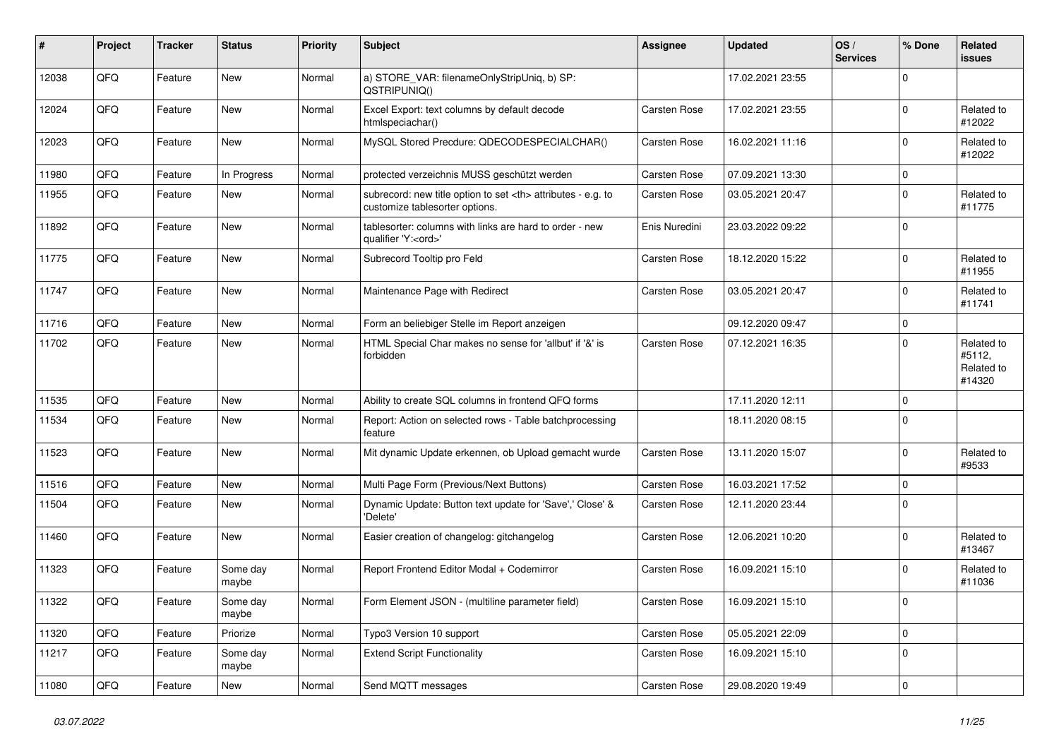| ∦     | Project | <b>Tracker</b> | <b>Status</b>     | <b>Priority</b> | Subject                                                                                              | <b>Assignee</b>                                        | <b>Updated</b>   | OS/<br><b>Services</b> | % Done      | Related<br>issues                            |                      |
|-------|---------|----------------|-------------------|-----------------|------------------------------------------------------------------------------------------------------|--------------------------------------------------------|------------------|------------------------|-------------|----------------------------------------------|----------------------|
| 12038 | QFQ     | Feature        | New               | Normal          | a) STORE_VAR: filenameOnlyStripUniq, b) SP:<br>QSTRIPUNIQ()                                          |                                                        | 17.02.2021 23:55 |                        | $\Omega$    |                                              |                      |
| 12024 | QFQ     | Feature        | New               | Normal          | Excel Export: text columns by default decode<br>htmlspeciachar()                                     | Carsten Rose                                           | 17.02.2021 23:55 |                        | $\Omega$    | Related to<br>#12022                         |                      |
| 12023 | QFQ     | Feature        | New               | Normal          | MySQL Stored Precdure: QDECODESPECIALCHAR()                                                          | Carsten Rose                                           | 16.02.2021 11:16 |                        | $\Omega$    | Related to<br>#12022                         |                      |
| 11980 | QFQ     | Feature        | In Progress       | Normal          | protected verzeichnis MUSS geschützt werden                                                          | Carsten Rose                                           | 07.09.2021 13:30 |                        | $\mathbf 0$ |                                              |                      |
| 11955 | QFQ     | Feature        | New               | Normal          | subrecord: new title option to set <th> attributes - e.g. to<br/>customize tablesorter options.</th> | attributes - e.g. to<br>customize tablesorter options. | Carsten Rose     | 03.05.2021 20:47       |             | $\Omega$                                     | Related to<br>#11775 |
| 11892 | QFQ     | Feature        | New               | Normal          | tablesorter: columns with links are hard to order - new<br>qualifier 'Y: <ord>'</ord>                | Enis Nuredini                                          | 23.03.2022 09:22 |                        | $\mathbf 0$ |                                              |                      |
| 11775 | QFQ     | Feature        | New               | Normal          | Subrecord Tooltip pro Feld                                                                           | Carsten Rose                                           | 18.12.2020 15:22 |                        | $\mathbf 0$ | Related to<br>#11955                         |                      |
| 11747 | QFQ     | Feature        | New               | Normal          | Maintenance Page with Redirect                                                                       | Carsten Rose                                           | 03.05.2021 20:47 |                        | $\mathbf 0$ | Related to<br>#11741                         |                      |
| 11716 | QFQ     | Feature        | <b>New</b>        | Normal          | Form an beliebiger Stelle im Report anzeigen                                                         |                                                        | 09.12.2020 09:47 |                        | $\mathbf 0$ |                                              |                      |
| 11702 | QFQ     | Feature        | New               | Normal          | HTML Special Char makes no sense for 'allbut' if '&' is<br>forbidden                                 | Carsten Rose                                           | 07.12.2021 16:35 |                        | $\Omega$    | Related to<br>#5112,<br>Related to<br>#14320 |                      |
| 11535 | QFQ     | Feature        | New               | Normal          | Ability to create SQL columns in frontend QFQ forms                                                  |                                                        | 17.11.2020 12:11 |                        | $\mathbf 0$ |                                              |                      |
| 11534 | QFQ     | Feature        | <b>New</b>        | Normal          | Report: Action on selected rows - Table batchprocessing<br>feature                                   |                                                        | 18.11.2020 08:15 |                        | $\Omega$    |                                              |                      |
| 11523 | QFQ     | Feature        | New               | Normal          | Mit dynamic Update erkennen, ob Upload gemacht wurde                                                 | Carsten Rose                                           | 13.11.2020 15:07 |                        | $\mathbf 0$ | Related to<br>#9533                          |                      |
| 11516 | QFQ     | Feature        | New               | Normal          | Multi Page Form (Previous/Next Buttons)                                                              | Carsten Rose                                           | 16.03.2021 17:52 |                        | $\mathbf 0$ |                                              |                      |
| 11504 | QFQ     | Feature        | <b>New</b>        | Normal          | Dynamic Update: Button text update for 'Save',' Close' &<br>'Delete'                                 | Carsten Rose                                           | 12.11.2020 23:44 |                        | $\Omega$    |                                              |                      |
| 11460 | QFQ     | Feature        | New               | Normal          | Easier creation of changelog: gitchangelog                                                           | Carsten Rose                                           | 12.06.2021 10:20 |                        | $\Omega$    | Related to<br>#13467                         |                      |
| 11323 | QFQ     | Feature        | Some day<br>maybe | Normal          | Report Frontend Editor Modal + Codemirror                                                            | Carsten Rose                                           | 16.09.2021 15:10 |                        | 0           | Related to<br>#11036                         |                      |
| 11322 | QFG     | Feature        | Some day<br>maybe | Normal          | Form Element JSON - (multiline parameter field)                                                      | Carsten Rose                                           | 16.09.2021 15:10 |                        | O           |                                              |                      |
| 11320 | QFQ     | Feature        | Priorize          | Normal          | Typo3 Version 10 support                                                                             | Carsten Rose                                           | 05.05.2021 22:09 |                        | 0           |                                              |                      |
| 11217 | QFQ     | Feature        | Some day<br>maybe | Normal          | <b>Extend Script Functionality</b>                                                                   | Carsten Rose                                           | 16.09.2021 15:10 |                        | $\mathbf 0$ |                                              |                      |
| 11080 | QFQ     | Feature        | New               | Normal          | Send MQTT messages                                                                                   | Carsten Rose                                           | 29.08.2020 19:49 |                        | 0           |                                              |                      |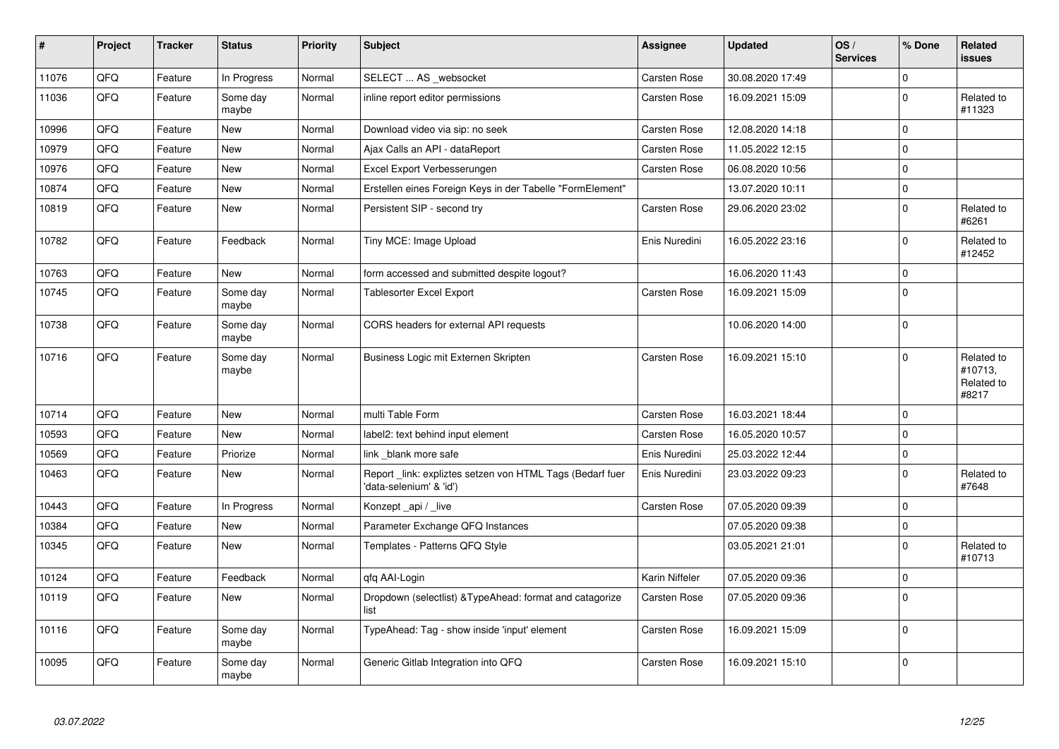| $\vert$ # | Project | <b>Tracker</b> | <b>Status</b>     | <b>Priority</b> | <b>Subject</b>                                                                      | Assignee            | <b>Updated</b>   | OS/<br><b>Services</b> | % Done       | Related<br>issues                            |
|-----------|---------|----------------|-------------------|-----------------|-------------------------------------------------------------------------------------|---------------------|------------------|------------------------|--------------|----------------------------------------------|
| 11076     | QFQ     | Feature        | In Progress       | Normal          | SELECT  AS _websocket                                                               | Carsten Rose        | 30.08.2020 17:49 |                        | $\Omega$     |                                              |
| 11036     | QFQ     | Feature        | Some day<br>maybe | Normal          | inline report editor permissions                                                    | Carsten Rose        | 16.09.2021 15:09 |                        | $\Omega$     | Related to<br>#11323                         |
| 10996     | QFQ     | Feature        | New               | Normal          | Download video via sip: no seek                                                     | Carsten Rose        | 12.08.2020 14:18 |                        | $\Omega$     |                                              |
| 10979     | QFQ     | Feature        | New               | Normal          | Ajax Calls an API - dataReport                                                      | Carsten Rose        | 11.05.2022 12:15 |                        | $\mathbf 0$  |                                              |
| 10976     | QFQ     | Feature        | New               | Normal          | Excel Export Verbesserungen                                                         | Carsten Rose        | 06.08.2020 10:56 |                        | $\Omega$     |                                              |
| 10874     | QFQ     | Feature        | New               | Normal          | Erstellen eines Foreign Keys in der Tabelle "FormElement"                           |                     | 13.07.2020 10:11 |                        | $\mathbf 0$  |                                              |
| 10819     | QFQ     | Feature        | New               | Normal          | Persistent SIP - second try                                                         | Carsten Rose        | 29.06.2020 23:02 |                        | $\mathbf 0$  | Related to<br>#6261                          |
| 10782     | QFQ     | Feature        | Feedback          | Normal          | Tiny MCE: Image Upload                                                              | Enis Nuredini       | 16.05.2022 23:16 |                        | $\Omega$     | Related to<br>#12452                         |
| 10763     | QFQ     | Feature        | <b>New</b>        | Normal          | form accessed and submitted despite logout?                                         |                     | 16.06.2020 11:43 |                        | $\mathbf 0$  |                                              |
| 10745     | QFQ     | Feature        | Some day<br>maybe | Normal          | <b>Tablesorter Excel Export</b>                                                     | Carsten Rose        | 16.09.2021 15:09 |                        | $\Omega$     |                                              |
| 10738     | QFQ     | Feature        | Some day<br>maybe | Normal          | CORS headers for external API requests                                              |                     | 10.06.2020 14:00 |                        | l 0          |                                              |
| 10716     | QFQ     | Feature        | Some day<br>maybe | Normal          | Business Logic mit Externen Skripten                                                | Carsten Rose        | 16.09.2021 15:10 |                        | $\Omega$     | Related to<br>#10713,<br>Related to<br>#8217 |
| 10714     | QFQ     | Feature        | New               | Normal          | multi Table Form                                                                    | <b>Carsten Rose</b> | 16.03.2021 18:44 |                        | $\Omega$     |                                              |
| 10593     | QFQ     | Feature        | New               | Normal          | label2: text behind input element                                                   | Carsten Rose        | 16.05.2020 10:57 |                        | $\mathbf 0$  |                                              |
| 10569     | QFQ     | Feature        | Priorize          | Normal          | link blank more safe                                                                | Enis Nuredini       | 25.03.2022 12:44 |                        | $\Omega$     |                                              |
| 10463     | QFQ     | Feature        | New               | Normal          | Report link: expliztes setzen von HTML Tags (Bedarf fuer<br>'data-selenium' & 'id') | Enis Nuredini       | 23.03.2022 09:23 |                        | $\Omega$     | Related to<br>#7648                          |
| 10443     | QFQ     | Feature        | In Progress       | Normal          | Konzept api / live                                                                  | Carsten Rose        | 07.05.2020 09:39 |                        | $\Omega$     |                                              |
| 10384     | QFQ     | Feature        | <b>New</b>        | Normal          | Parameter Exchange QFQ Instances                                                    |                     | 07.05.2020 09:38 |                        | $\mathbf 0$  |                                              |
| 10345     | QFQ     | Feature        | New               | Normal          | Templates - Patterns QFQ Style                                                      |                     | 03.05.2021 21:01 |                        | $\mathbf{0}$ | Related to<br>#10713                         |
| 10124     | QFQ     | Feature        | Feedback          | Normal          | qfq AAI-Login                                                                       | Karin Niffeler      | 07.05.2020 09:36 |                        | $\mathbf 0$  |                                              |
| 10119     | QFQ     | Feature        | New               | Normal          | Dropdown (selectlist) & Type Ahead: format and catagorize<br>list                   | Carsten Rose        | 07.05.2020 09:36 |                        | $\Omega$     |                                              |
| 10116     | QFQ     | Feature        | Some day<br>maybe | Normal          | TypeAhead: Tag - show inside 'input' element                                        | Carsten Rose        | 16.09.2021 15:09 |                        | $\mathbf 0$  |                                              |
| 10095     | QFQ     | Feature        | Some day<br>maybe | Normal          | Generic Gitlab Integration into QFQ                                                 | Carsten Rose        | 16.09.2021 15:10 |                        | $\Omega$     |                                              |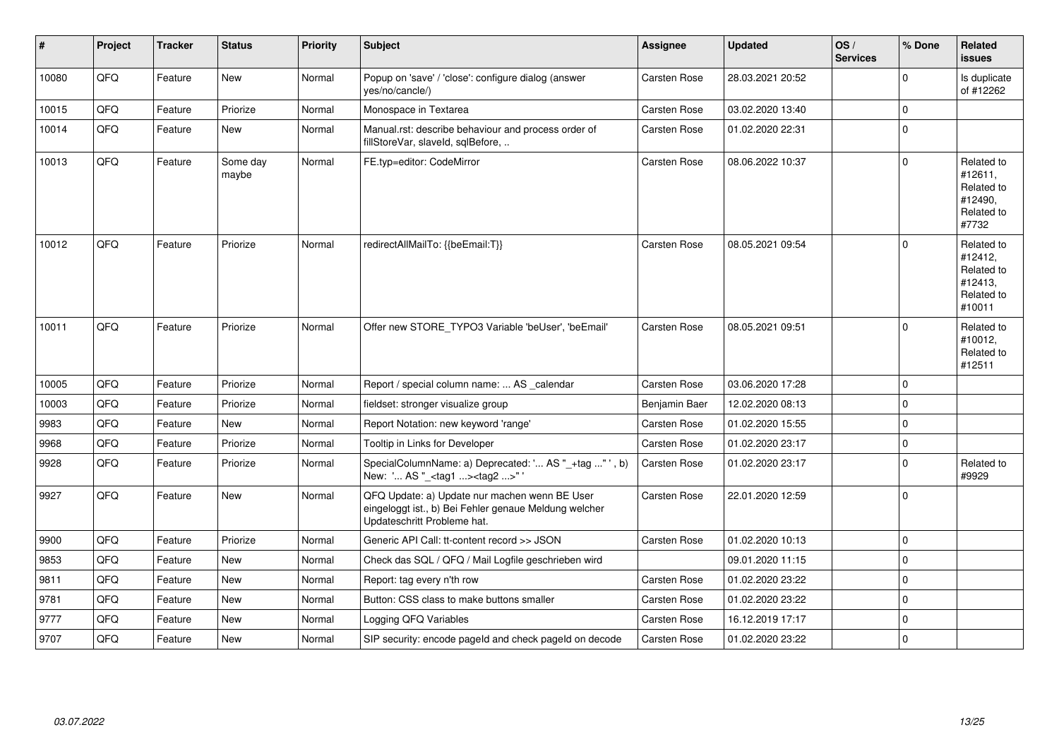| $\vert$ # | Project | <b>Tracker</b> | <b>Status</b>     | <b>Priority</b> | <b>Subject</b>                                                                                                                        | <b>Assignee</b>     | <b>Updated</b>   | OS/<br><b>Services</b> | % Done      | Related<br><b>issues</b>                                               |
|-----------|---------|----------------|-------------------|-----------------|---------------------------------------------------------------------------------------------------------------------------------------|---------------------|------------------|------------------------|-------------|------------------------------------------------------------------------|
| 10080     | QFQ     | Feature        | <b>New</b>        | Normal          | Popup on 'save' / 'close': configure dialog (answer<br>yes/no/cancle/)                                                                | Carsten Rose        | 28.03.2021 20:52 |                        | $\Omega$    | Is duplicate<br>of #12262                                              |
| 10015     | QFQ     | Feature        | Priorize          | Normal          | Monospace in Textarea                                                                                                                 | Carsten Rose        | 03.02.2020 13:40 |                        | $\Omega$    |                                                                        |
| 10014     | QFQ     | Feature        | New               | Normal          | Manual.rst: describe behaviour and process order of<br>fillStoreVar, slaveId, sqlBefore,                                              | Carsten Rose        | 01.02.2020 22:31 |                        | $\mathbf 0$ |                                                                        |
| 10013     | QFQ     | Feature        | Some day<br>maybe | Normal          | FE.typ=editor: CodeMirror                                                                                                             | <b>Carsten Rose</b> | 08.06.2022 10:37 |                        | $\Omega$    | Related to<br>#12611,<br>Related to<br>#12490,<br>Related to<br>#7732  |
| 10012     | QFQ     | Feature        | Priorize          | Normal          | redirectAllMailTo: {{beEmail:T}}                                                                                                      | <b>Carsten Rose</b> | 08.05.2021 09:54 |                        | $\Omega$    | Related to<br>#12412,<br>Related to<br>#12413,<br>Related to<br>#10011 |
| 10011     | QFQ     | Feature        | Priorize          | Normal          | Offer new STORE_TYPO3 Variable 'beUser', 'beEmail'                                                                                    | <b>Carsten Rose</b> | 08.05.2021 09:51 |                        | $\mathbf 0$ | Related to<br>#10012,<br>Related to<br>#12511                          |
| 10005     | QFQ     | Feature        | Priorize          | Normal          | Report / special column name:  AS _calendar                                                                                           | <b>Carsten Rose</b> | 03.06.2020 17:28 |                        | $\Omega$    |                                                                        |
| 10003     | QFQ     | Feature        | Priorize          | Normal          | fieldset: stronger visualize group                                                                                                    | Benjamin Baer       | 12.02.2020 08:13 |                        | $\mathbf 0$ |                                                                        |
| 9983      | QFQ     | Feature        | <b>New</b>        | Normal          | Report Notation: new keyword 'range'                                                                                                  | Carsten Rose        | 01.02.2020 15:55 |                        | $\mathbf 0$ |                                                                        |
| 9968      | QFQ     | Feature        | Priorize          | Normal          | Tooltip in Links for Developer                                                                                                        | <b>Carsten Rose</b> | 01.02.2020 23:17 |                        | $\mathbf 0$ |                                                                        |
| 9928      | QFQ     | Feature        | Priorize          | Normal          | SpecialColumnName: a) Deprecated: ' AS "_+tag " ', b)<br>New: ' AS "_ <tag1><tag2>" '</tag2></tag1>                                   | Carsten Rose        | 01.02.2020 23:17 |                        | $\Omega$    | Related to<br>#9929                                                    |
| 9927      | QFQ     | Feature        | New               | Normal          | QFQ Update: a) Update nur machen wenn BE User<br>eingeloggt ist., b) Bei Fehler genaue Meldung welcher<br>Updateschritt Probleme hat. | Carsten Rose        | 22.01.2020 12:59 |                        | $\mathbf 0$ |                                                                        |
| 9900      | QFQ     | Feature        | Priorize          | Normal          | Generic API Call: tt-content record >> JSON                                                                                           | <b>Carsten Rose</b> | 01.02.2020 10:13 |                        | 0           |                                                                        |
| 9853      | QFQ     | Feature        | New               | Normal          | Check das SQL / QFQ / Mail Logfile geschrieben wird                                                                                   |                     | 09.01.2020 11:15 |                        | $\pmb{0}$   |                                                                        |
| 9811      | QFQ     | Feature        | <b>New</b>        | Normal          | Report: tag every n'th row                                                                                                            | Carsten Rose        | 01.02.2020 23:22 |                        | $\mathbf 0$ |                                                                        |
| 9781      | QFQ     | Feature        | New               | Normal          | Button: CSS class to make buttons smaller                                                                                             | <b>Carsten Rose</b> | 01.02.2020 23:22 |                        | $\Omega$    |                                                                        |
| 9777      | QFQ     | Feature        | New               | Normal          | Logging QFQ Variables                                                                                                                 | Carsten Rose        | 16.12.2019 17:17 |                        | $\mathbf 0$ |                                                                        |
| 9707      | QFQ     | Feature        | New               | Normal          | SIP security: encode pageld and check pageld on decode                                                                                | <b>Carsten Rose</b> | 01.02.2020 23:22 |                        | $\mathbf 0$ |                                                                        |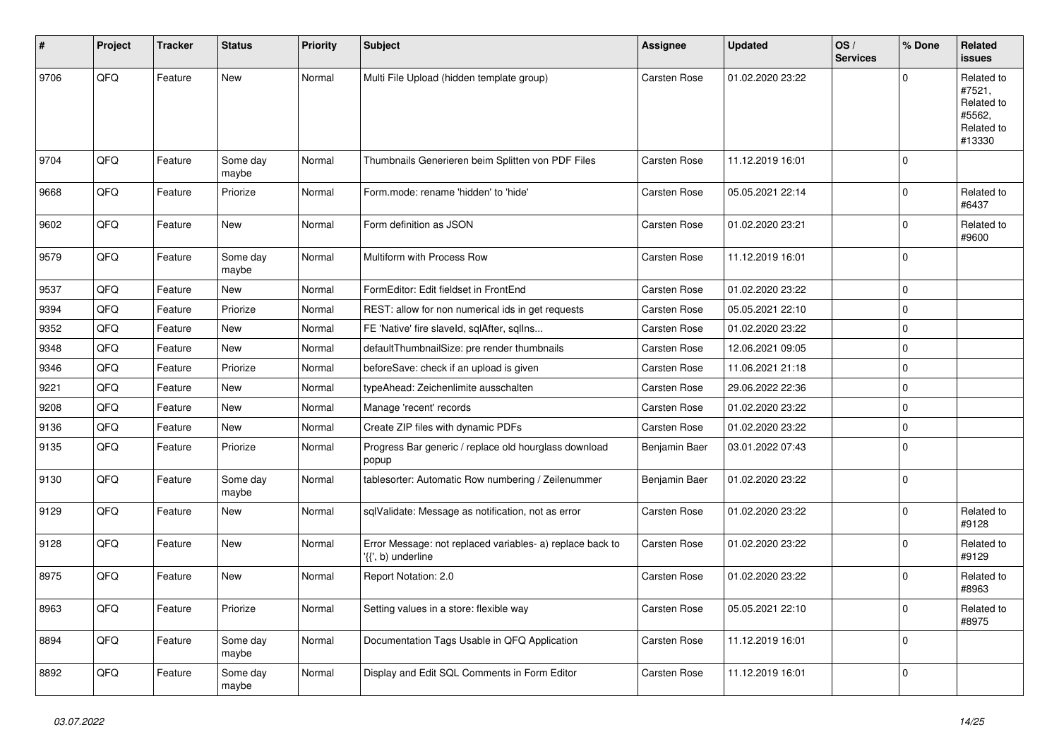| #    | Project | <b>Tracker</b> | <b>Status</b>     | <b>Priority</b> | Subject                                                                         | <b>Assignee</b> | <b>Updated</b>   | OS/<br><b>Services</b> | % Done      | Related<br>issues                                                    |
|------|---------|----------------|-------------------|-----------------|---------------------------------------------------------------------------------|-----------------|------------------|------------------------|-------------|----------------------------------------------------------------------|
| 9706 | QFQ     | Feature        | <b>New</b>        | Normal          | Multi File Upload (hidden template group)                                       | Carsten Rose    | 01.02.2020 23:22 |                        | $\Omega$    | Related to<br>#7521,<br>Related to<br>#5562,<br>Related to<br>#13330 |
| 9704 | QFQ     | Feature        | Some day<br>maybe | Normal          | Thumbnails Generieren beim Splitten von PDF Files                               | Carsten Rose    | 11.12.2019 16:01 |                        | $\mathbf 0$ |                                                                      |
| 9668 | QFQ     | Feature        | Priorize          | Normal          | Form.mode: rename 'hidden' to 'hide'                                            | Carsten Rose    | 05.05.2021 22:14 |                        | $\mathbf 0$ | Related to<br>#6437                                                  |
| 9602 | QFQ     | Feature        | <b>New</b>        | Normal          | Form definition as JSON                                                         | Carsten Rose    | 01.02.2020 23:21 |                        | $\Omega$    | Related to<br>#9600                                                  |
| 9579 | QFQ     | Feature        | Some day<br>maybe | Normal          | Multiform with Process Row                                                      | Carsten Rose    | 11.12.2019 16:01 |                        | $\mathbf 0$ |                                                                      |
| 9537 | QFQ     | Feature        | <b>New</b>        | Normal          | FormEditor: Edit fieldset in FrontEnd                                           | Carsten Rose    | 01.02.2020 23:22 |                        | $\Omega$    |                                                                      |
| 9394 | QFQ     | Feature        | Priorize          | Normal          | REST: allow for non numerical ids in get requests                               | Carsten Rose    | 05.05.2021 22:10 |                        | $\mathbf 0$ |                                                                      |
| 9352 | QFQ     | Feature        | New               | Normal          | FE 'Native' fire slaveld, sqlAfter, sqlIns                                      | Carsten Rose    | 01.02.2020 23:22 |                        | $\mathbf 0$ |                                                                      |
| 9348 | QFQ     | Feature        | <b>New</b>        | Normal          | defaultThumbnailSize: pre render thumbnails                                     | Carsten Rose    | 12.06.2021 09:05 |                        | $\mathbf 0$ |                                                                      |
| 9346 | QFQ     | Feature        | Priorize          | Normal          | beforeSave: check if an upload is given                                         | Carsten Rose    | 11.06.2021 21:18 |                        | $\mathbf 0$ |                                                                      |
| 9221 | QFQ     | Feature        | <b>New</b>        | Normal          | typeAhead: Zeichenlimite ausschalten                                            | Carsten Rose    | 29.06.2022 22:36 |                        | $\mathbf 0$ |                                                                      |
| 9208 | QFQ     | Feature        | New               | Normal          | Manage 'recent' records                                                         | Carsten Rose    | 01.02.2020 23:22 |                        | 0           |                                                                      |
| 9136 | QFQ     | Feature        | New               | Normal          | Create ZIP files with dynamic PDFs                                              | Carsten Rose    | 01.02.2020 23:22 |                        | $\mathbf 0$ |                                                                      |
| 9135 | QFQ     | Feature        | Priorize          | Normal          | Progress Bar generic / replace old hourglass download<br>popup                  | Benjamin Baer   | 03.01.2022 07:43 |                        | $\mathbf 0$ |                                                                      |
| 9130 | QFQ     | Feature        | Some day<br>maybe | Normal          | tablesorter: Automatic Row numbering / Zeilenummer                              | Benjamin Baer   | 01.02.2020 23:22 |                        | 0           |                                                                      |
| 9129 | QFQ     | Feature        | New               | Normal          | sqlValidate: Message as notification, not as error                              | Carsten Rose    | 01.02.2020 23:22 |                        | $\mathbf 0$ | Related to<br>#9128                                                  |
| 9128 | QFQ     | Feature        | <b>New</b>        | Normal          | Error Message: not replaced variables- a) replace back to<br>'{{', b) underline | Carsten Rose    | 01.02.2020 23:22 |                        | $\mathbf 0$ | Related to<br>#9129                                                  |
| 8975 | QFQ     | Feature        | <b>New</b>        | Normal          | Report Notation: 2.0                                                            | Carsten Rose    | 01.02.2020 23:22 |                        | $\Omega$    | Related to<br>#8963                                                  |
| 8963 | QFG     | Feature        | Priorize          | Normal          | Setting values in a store: flexible way                                         | Carsten Rose    | 05.05.2021 22:10 |                        | 0           | Related to<br>#8975                                                  |
| 8894 | QFQ     | Feature        | Some day<br>maybe | Normal          | Documentation Tags Usable in QFQ Application                                    | Carsten Rose    | 11.12.2019 16:01 |                        | 0           |                                                                      |
| 8892 | QFQ     | Feature        | Some day<br>maybe | Normal          | Display and Edit SQL Comments in Form Editor                                    | Carsten Rose    | 11.12.2019 16:01 |                        | 0           |                                                                      |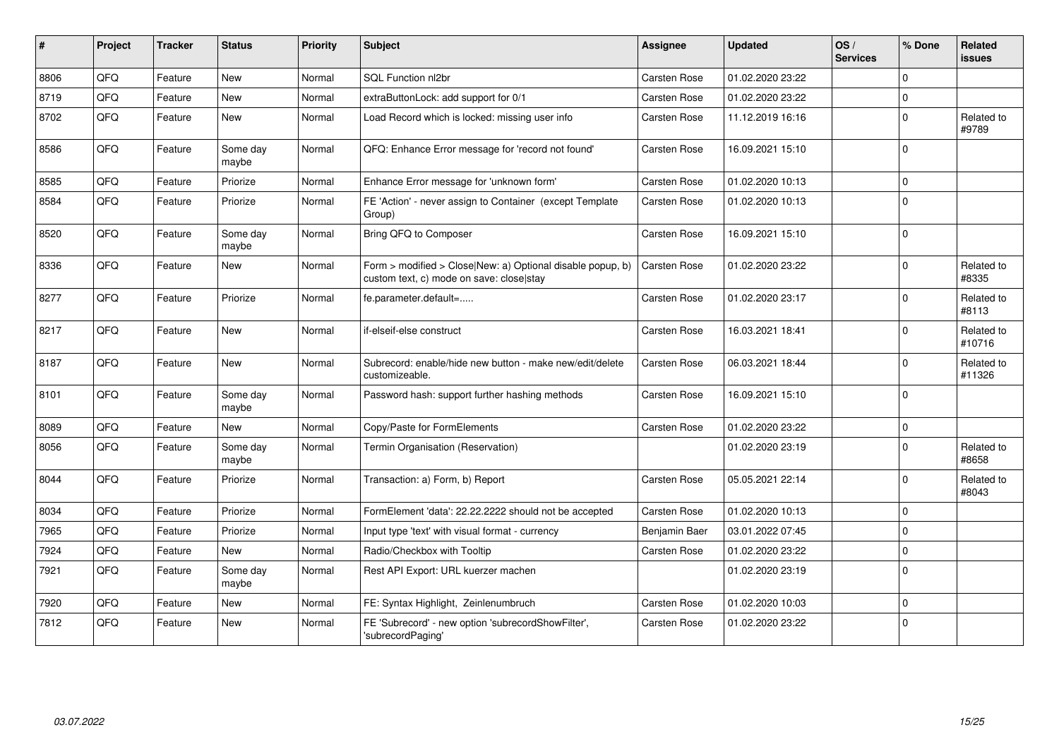| #    | Project | <b>Tracker</b> | <b>Status</b>     | <b>Priority</b> | Subject                                                                                                | <b>Assignee</b>     | <b>Updated</b>   | OS/<br><b>Services</b> | % Done      | Related<br>issues    |
|------|---------|----------------|-------------------|-----------------|--------------------------------------------------------------------------------------------------------|---------------------|------------------|------------------------|-------------|----------------------|
| 8806 | QFQ     | Feature        | <b>New</b>        | Normal          | SQL Function nl2br                                                                                     | Carsten Rose        | 01.02.2020 23:22 |                        | $\Omega$    |                      |
| 8719 | QFQ     | Feature        | New               | Normal          | extraButtonLock: add support for 0/1                                                                   | <b>Carsten Rose</b> | 01.02.2020 23:22 |                        | $\Omega$    |                      |
| 8702 | QFQ     | Feature        | New               | Normal          | Load Record which is locked: missing user info                                                         | Carsten Rose        | 11.12.2019 16:16 |                        | $\Omega$    | Related to<br>#9789  |
| 8586 | QFQ     | Feature        | Some day<br>maybe | Normal          | QFQ: Enhance Error message for 'record not found'                                                      | Carsten Rose        | 16.09.2021 15:10 |                        | $\Omega$    |                      |
| 8585 | QFQ     | Feature        | Priorize          | Normal          | Enhance Error message for 'unknown form'                                                               | Carsten Rose        | 01.02.2020 10:13 |                        | $\mathbf 0$ |                      |
| 8584 | QFQ     | Feature        | Priorize          | Normal          | FE 'Action' - never assign to Container (except Template<br>Group)                                     | Carsten Rose        | 01.02.2020 10:13 |                        | $\Omega$    |                      |
| 8520 | QFQ     | Feature        | Some day<br>maybe | Normal          | Bring QFQ to Composer                                                                                  | Carsten Rose        | 16.09.2021 15:10 |                        | $\mathbf 0$ |                      |
| 8336 | QFQ     | Feature        | New               | Normal          | Form > modified > Close New: a) Optional disable popup, b)<br>custom text, c) mode on save: close stay | Carsten Rose        | 01.02.2020 23:22 |                        | $\Omega$    | Related to<br>#8335  |
| 8277 | QFQ     | Feature        | Priorize          | Normal          | fe.parameter.default=                                                                                  | Carsten Rose        | 01.02.2020 23:17 |                        | $\Omega$    | Related to<br>#8113  |
| 8217 | QFQ     | Feature        | New               | Normal          | if-elseif-else construct                                                                               | Carsten Rose        | 16.03.2021 18:41 |                        | $\Omega$    | Related to<br>#10716 |
| 8187 | QFQ     | Feature        | <b>New</b>        | Normal          | Subrecord: enable/hide new button - make new/edit/delete<br>customizeable.                             | Carsten Rose        | 06.03.2021 18:44 |                        | $\Omega$    | Related to<br>#11326 |
| 8101 | QFQ     | Feature        | Some day<br>maybe | Normal          | Password hash: support further hashing methods                                                         | Carsten Rose        | 16.09.2021 15:10 |                        | $\Omega$    |                      |
| 8089 | QFQ     | Feature        | New               | Normal          | Copy/Paste for FormElements                                                                            | Carsten Rose        | 01.02.2020 23:22 |                        | $\mathbf 0$ |                      |
| 8056 | QFQ     | Feature        | Some day<br>maybe | Normal          | Termin Organisation (Reservation)                                                                      |                     | 01.02.2020 23:19 |                        | $\Omega$    | Related to<br>#8658  |
| 8044 | QFQ     | Feature        | Priorize          | Normal          | Transaction: a) Form, b) Report                                                                        | Carsten Rose        | 05.05.2021 22:14 |                        | $\Omega$    | Related to<br>#8043  |
| 8034 | QFQ     | Feature        | Priorize          | Normal          | FormElement 'data': 22.22.2222 should not be accepted                                                  | Carsten Rose        | 01.02.2020 10:13 |                        | $\Omega$    |                      |
| 7965 | QFQ     | Feature        | Priorize          | Normal          | Input type 'text' with visual format - currency                                                        | Benjamin Baer       | 03.01.2022 07:45 |                        | $\Omega$    |                      |
| 7924 | QFQ     | Feature        | <b>New</b>        | Normal          | Radio/Checkbox with Tooltip                                                                            | Carsten Rose        | 01.02.2020 23:22 |                        | $\Omega$    |                      |
| 7921 | QFQ     | Feature        | Some day<br>maybe | Normal          | Rest API Export: URL kuerzer machen                                                                    |                     | 01.02.2020 23:19 |                        | $\Omega$    |                      |
| 7920 | QFQ     | Feature        | New               | Normal          | FE: Syntax Highlight, Zeinlenumbruch                                                                   | Carsten Rose        | 01.02.2020 10:03 |                        | $\mathbf 0$ |                      |
| 7812 | QFQ     | Feature        | New               | Normal          | FE 'Subrecord' - new option 'subrecordShowFilter',<br>'subrecordPaging'                                | Carsten Rose        | 01.02.2020 23:22 |                        | l 0         |                      |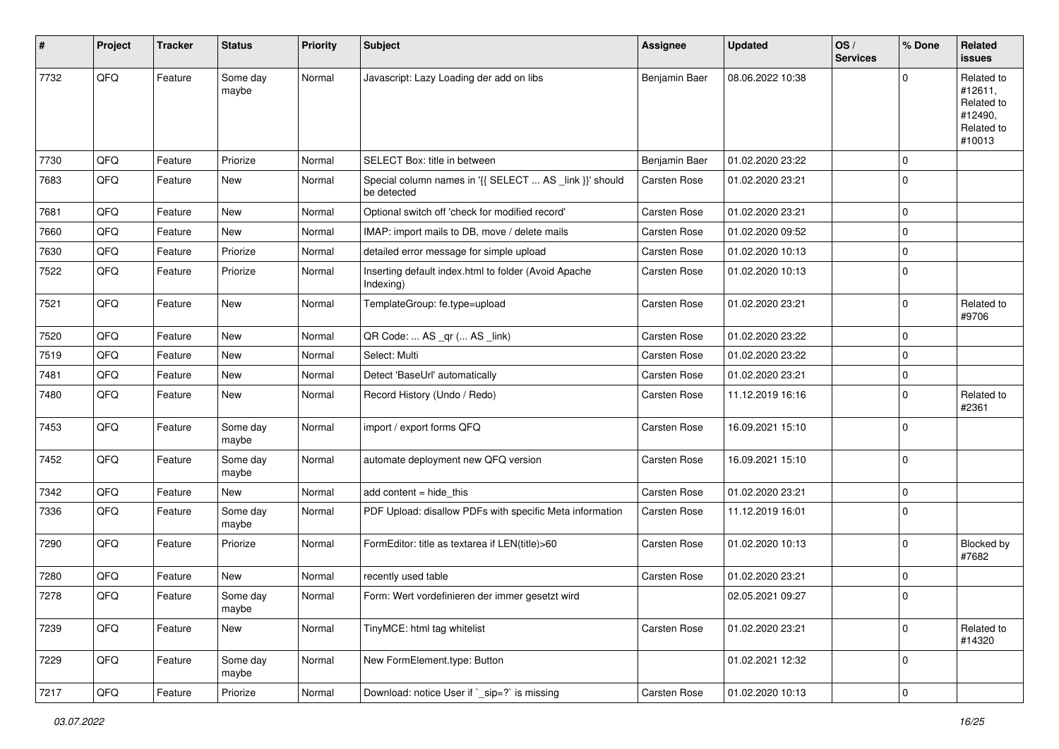| #    | Project | <b>Tracker</b> | <b>Status</b>     | <b>Priority</b> | <b>Subject</b>                                                         | Assignee            | Updated          | OS/<br><b>Services</b> | % Done      | Related<br>issues                                                      |
|------|---------|----------------|-------------------|-----------------|------------------------------------------------------------------------|---------------------|------------------|------------------------|-------------|------------------------------------------------------------------------|
| 7732 | QFQ     | Feature        | Some day<br>maybe | Normal          | Javascript: Lazy Loading der add on libs                               | Benjamin Baer       | 08.06.2022 10:38 |                        | U           | Related to<br>#12611,<br>Related to<br>#12490,<br>Related to<br>#10013 |
| 7730 | QFQ     | Feature        | Priorize          | Normal          | SELECT Box: title in between                                           | Benjamin Baer       | 01.02.2020 23:22 |                        | 0           |                                                                        |
| 7683 | QFQ     | Feature        | New               | Normal          | Special column names in '{{ SELECT  AS _link }}' should<br>be detected | Carsten Rose        | 01.02.2020 23:21 |                        | $\Omega$    |                                                                        |
| 7681 | QFQ     | Feature        | New               | Normal          | Optional switch off 'check for modified record'                        | Carsten Rose        | 01.02.2020 23:21 |                        | $\mathbf 0$ |                                                                        |
| 7660 | QFQ     | Feature        | New               | Normal          | IMAP: import mails to DB, move / delete mails                          | Carsten Rose        | 01.02.2020 09:52 |                        | $\Omega$    |                                                                        |
| 7630 | QFQ     | Feature        | Priorize          | Normal          | detailed error message for simple upload                               | Carsten Rose        | 01.02.2020 10:13 |                        | 0           |                                                                        |
| 7522 | QFQ     | Feature        | Priorize          | Normal          | Inserting default index.html to folder (Avoid Apache<br>Indexing)      | Carsten Rose        | 01.02.2020 10:13 |                        | $\Omega$    |                                                                        |
| 7521 | QFQ     | Feature        | <b>New</b>        | Normal          | TemplateGroup: fe.type=upload                                          | Carsten Rose        | 01.02.2020 23:21 |                        | $\Omega$    | Related to<br>#9706                                                    |
| 7520 | QFQ     | Feature        | <b>New</b>        | Normal          | QR Code:  AS _qr ( AS _link)                                           | Carsten Rose        | 01.02.2020 23:22 |                        | $\mathbf 0$ |                                                                        |
| 7519 | QFQ     | Feature        | New               | Normal          | Select: Multi                                                          | <b>Carsten Rose</b> | 01.02.2020 23:22 |                        | $\mathbf 0$ |                                                                        |
| 7481 | QFQ     | Feature        | New               | Normal          | Detect 'BaseUrl' automatically                                         | Carsten Rose        | 01.02.2020 23:21 |                        | $\Omega$    |                                                                        |
| 7480 | QFQ     | Feature        | New               | Normal          | Record History (Undo / Redo)                                           | Carsten Rose        | 11.12.2019 16:16 |                        | 0           | Related to<br>#2361                                                    |
| 7453 | QFQ     | Feature        | Some day<br>maybe | Normal          | import / export forms QFQ                                              | <b>Carsten Rose</b> | 16.09.2021 15:10 |                        | $\mathbf 0$ |                                                                        |
| 7452 | QFQ     | Feature        | Some day<br>maybe | Normal          | automate deployment new QFQ version                                    | Carsten Rose        | 16.09.2021 15:10 |                        | $\Omega$    |                                                                        |
| 7342 | QFQ     | Feature        | New               | Normal          | add content $=$ hide this                                              | <b>Carsten Rose</b> | 01.02.2020 23:21 |                        | $\mathbf 0$ |                                                                        |
| 7336 | QFQ     | Feature        | Some day<br>maybe | Normal          | PDF Upload: disallow PDFs with specific Meta information               | Carsten Rose        | 11.12.2019 16:01 |                        | $\Omega$    |                                                                        |
| 7290 | QFQ     | Feature        | Priorize          | Normal          | FormEditor: title as textarea if LEN(title)>60                         | Carsten Rose        | 01.02.2020 10:13 |                        | $\mathbf 0$ | Blocked by<br>#7682                                                    |
| 7280 | QFQ     | Feature        | New               | Normal          | recently used table                                                    | Carsten Rose        | 01.02.2020 23:21 |                        | $\Omega$    |                                                                        |
| 7278 | QFQ     | Feature        | Some day<br>maybe | Normal          | Form: Wert vordefinieren der immer gesetzt wird                        |                     | 02.05.2021 09:27 |                        | $\Omega$    |                                                                        |
| 7239 | QFQ     | Feature        | New               | Normal          | TinyMCE: html tag whitelist                                            | Carsten Rose        | 01.02.2020 23:21 |                        | $\Omega$    | Related to<br>#14320                                                   |
| 7229 | QFQ     | Feature        | Some day<br>maybe | Normal          | New FormElement.type: Button                                           |                     | 01.02.2021 12:32 |                        | $\mathbf 0$ |                                                                        |
| 7217 | QFQ     | Feature        | Priorize          | Normal          | Download: notice User if `_sip=?` is missing                           | Carsten Rose        | 01.02.2020 10:13 |                        | 0           |                                                                        |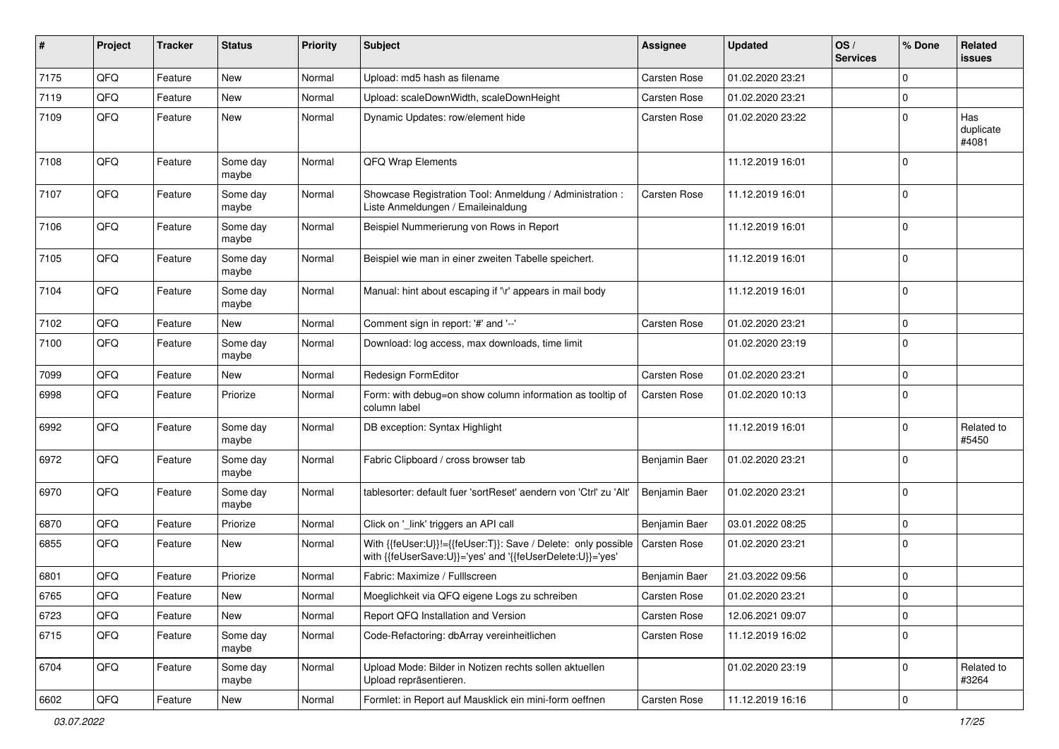| #    | Project | <b>Tracker</b> | <b>Status</b>     | <b>Priority</b> | Subject                                                                                                                    | <b>Assignee</b> | <b>Updated</b>   | OS/<br><b>Services</b> | % Done      | Related<br>issues         |
|------|---------|----------------|-------------------|-----------------|----------------------------------------------------------------------------------------------------------------------------|-----------------|------------------|------------------------|-------------|---------------------------|
| 7175 | QFQ     | Feature        | <b>New</b>        | Normal          | Upload: md5 hash as filename                                                                                               | Carsten Rose    | 01.02.2020 23:21 |                        | $\Omega$    |                           |
| 7119 | QFQ     | Feature        | <b>New</b>        | Normal          | Upload: scaleDownWidth, scaleDownHeight                                                                                    | Carsten Rose    | 01.02.2020 23:21 |                        | 0           |                           |
| 7109 | QFQ     | Feature        | New               | Normal          | Dynamic Updates: row/element hide                                                                                          | Carsten Rose    | 01.02.2020 23:22 |                        | $\mathbf 0$ | Has<br>duplicate<br>#4081 |
| 7108 | QFQ     | Feature        | Some day<br>maybe | Normal          | QFQ Wrap Elements                                                                                                          |                 | 11.12.2019 16:01 |                        | $\Omega$    |                           |
| 7107 | QFQ     | Feature        | Some day<br>maybe | Normal          | Showcase Registration Tool: Anmeldung / Administration :<br>Liste Anmeldungen / Emaileinaldung                             | Carsten Rose    | 11.12.2019 16:01 |                        | $\Omega$    |                           |
| 7106 | QFQ     | Feature        | Some day<br>maybe | Normal          | Beispiel Nummerierung von Rows in Report                                                                                   |                 | 11.12.2019 16:01 |                        | $\mathbf 0$ |                           |
| 7105 | QFQ     | Feature        | Some day<br>maybe | Normal          | Beispiel wie man in einer zweiten Tabelle speichert.                                                                       |                 | 11.12.2019 16:01 |                        | $\mathbf 0$ |                           |
| 7104 | QFQ     | Feature        | Some day<br>maybe | Normal          | Manual: hint about escaping if '\r' appears in mail body                                                                   |                 | 11.12.2019 16:01 |                        | $\mathbf 0$ |                           |
| 7102 | QFQ     | Feature        | <b>New</b>        | Normal          | Comment sign in report: '#' and '--'                                                                                       | Carsten Rose    | 01.02.2020 23:21 |                        | 0           |                           |
| 7100 | QFQ     | Feature        | Some day<br>maybe | Normal          | Download: log access, max downloads, time limit                                                                            |                 | 01.02.2020 23:19 |                        | $\Omega$    |                           |
| 7099 | QFQ     | Feature        | <b>New</b>        | Normal          | Redesign FormEditor                                                                                                        | Carsten Rose    | 01.02.2020 23:21 |                        | $\Omega$    |                           |
| 6998 | QFQ     | Feature        | Priorize          | Normal          | Form: with debug=on show column information as tooltip of<br>column label                                                  | Carsten Rose    | 01.02.2020 10:13 |                        | $\mathbf 0$ |                           |
| 6992 | QFQ     | Feature        | Some day<br>maybe | Normal          | DB exception: Syntax Highlight                                                                                             |                 | 11.12.2019 16:01 |                        | $\Omega$    | Related to<br>#5450       |
| 6972 | QFQ     | Feature        | Some day<br>maybe | Normal          | Fabric Clipboard / cross browser tab                                                                                       | Benjamin Baer   | 01.02.2020 23:21 |                        | $\Omega$    |                           |
| 6970 | QFQ     | Feature        | Some day<br>maybe | Normal          | tablesorter: default fuer 'sortReset' aendern von 'Ctrl' zu 'Alt'                                                          | Benjamin Baer   | 01.02.2020 23:21 |                        | $\Omega$    |                           |
| 6870 | QFQ     | Feature        | Priorize          | Normal          | Click on '_link' triggers an API call                                                                                      | Benjamin Baer   | 03.01.2022 08:25 |                        | $\mathbf 0$ |                           |
| 6855 | QFQ     | Feature        | New               | Normal          | With {{feUser:U}}!={{feUser:T}}: Save / Delete: only possible<br>with {{feUserSave:U}}='yes' and '{{feUserDelete:U}}='yes' | Carsten Rose    | 01.02.2020 23:21 |                        | $\mathbf 0$ |                           |
| 6801 | QFQ     | Feature        | Priorize          | Normal          | Fabric: Maximize / Fulllscreen                                                                                             | Benjamin Baer   | 21.03.2022 09:56 |                        | $\mathbf 0$ |                           |
| 6765 | QFQ     | Feature        | New               | Normal          | Moeglichkeit via QFQ eigene Logs zu schreiben                                                                              | Carsten Rose    | 01.02.2020 23:21 |                        | l O         |                           |
| 6723 | QFQ     | Feature        | New               | Normal          | Report QFQ Installation and Version                                                                                        | Carsten Rose    | 12.06.2021 09:07 |                        | $\mathbf 0$ |                           |
| 6715 | QFQ     | Feature        | Some day<br>maybe | Normal          | Code-Refactoring: dbArray vereinheitlichen                                                                                 | Carsten Rose    | 11.12.2019 16:02 |                        | $\Omega$    |                           |
| 6704 | QFQ     | Feature        | Some day<br>maybe | Normal          | Upload Mode: Bilder in Notizen rechts sollen aktuellen<br>Upload repräsentieren.                                           |                 | 01.02.2020 23:19 |                        | $\mathbf 0$ | Related to<br>#3264       |
| 6602 | QFQ     | Feature        | New               | Normal          | Formlet: in Report auf Mausklick ein mini-form oeffnen                                                                     | Carsten Rose    | 11.12.2019 16:16 |                        | $\mathbf 0$ |                           |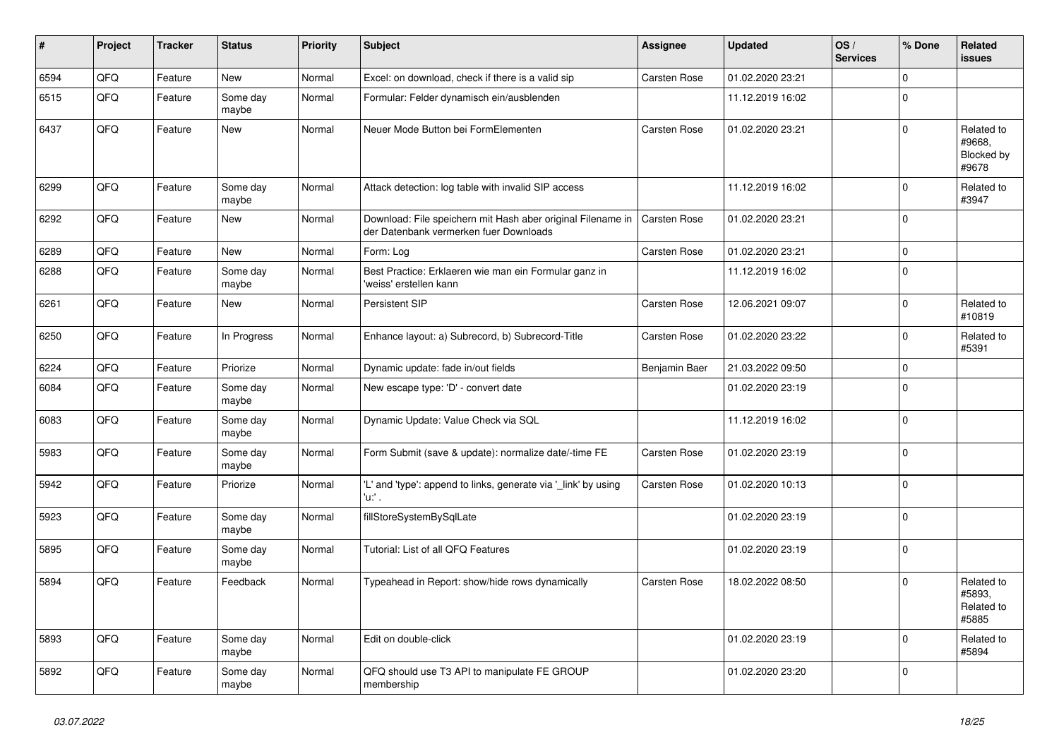| ∦    | Project | <b>Tracker</b> | <b>Status</b>     | Priority | Subject                                                                                               | Assignee            | <b>Updated</b>   | OS/<br><b>Services</b> | % Done      | <b>Related</b><br>issues                    |
|------|---------|----------------|-------------------|----------|-------------------------------------------------------------------------------------------------------|---------------------|------------------|------------------------|-------------|---------------------------------------------|
| 6594 | QFQ     | Feature        | New               | Normal   | Excel: on download, check if there is a valid sip                                                     | Carsten Rose        | 01.02.2020 23:21 |                        | $\Omega$    |                                             |
| 6515 | QFQ     | Feature        | Some day<br>maybe | Normal   | Formular: Felder dynamisch ein/ausblenden                                                             |                     | 11.12.2019 16:02 |                        | $\Omega$    |                                             |
| 6437 | QFQ     | Feature        | <b>New</b>        | Normal   | Neuer Mode Button bei FormElementen                                                                   | <b>Carsten Rose</b> | 01.02.2020 23:21 |                        | $\Omega$    | Related to<br>#9668.<br>Blocked by<br>#9678 |
| 6299 | QFQ     | Feature        | Some day<br>maybe | Normal   | Attack detection: log table with invalid SIP access                                                   |                     | 11.12.2019 16:02 |                        | $\Omega$    | Related to<br>#3947                         |
| 6292 | QFQ     | Feature        | <b>New</b>        | Normal   | Download: File speichern mit Hash aber original Filename in<br>der Datenbank vermerken fuer Downloads | <b>Carsten Rose</b> | 01.02.2020 23:21 |                        | $\Omega$    |                                             |
| 6289 | QFQ     | Feature        | New               | Normal   | Form: Log                                                                                             | Carsten Rose        | 01.02.2020 23:21 |                        | $\mathbf 0$ |                                             |
| 6288 | QFQ     | Feature        | Some day<br>maybe | Normal   | Best Practice: Erklaeren wie man ein Formular ganz in<br>'weiss' erstellen kann                       |                     | 11.12.2019 16:02 |                        | $\Omega$    |                                             |
| 6261 | QFQ     | Feature        | <b>New</b>        | Normal   | Persistent SIP                                                                                        | Carsten Rose        | 12.06.2021 09:07 |                        | $\Omega$    | Related to<br>#10819                        |
| 6250 | QFQ     | Feature        | In Progress       | Normal   | Enhance layout: a) Subrecord, b) Subrecord-Title                                                      | Carsten Rose        | 01.02.2020 23:22 |                        | $\Omega$    | Related to<br>#5391                         |
| 6224 | QFQ     | Feature        | Priorize          | Normal   | Dynamic update: fade in/out fields                                                                    | Benjamin Baer       | 21.03.2022 09:50 |                        | $\mathbf 0$ |                                             |
| 6084 | QFQ     | Feature        | Some day<br>maybe | Normal   | New escape type: 'D' - convert date                                                                   |                     | 01.02.2020 23:19 |                        | $\Omega$    |                                             |
| 6083 | QFQ     | Feature        | Some day<br>maybe | Normal   | Dynamic Update: Value Check via SQL                                                                   |                     | 11.12.2019 16:02 |                        | $\Omega$    |                                             |
| 5983 | QFQ     | Feature        | Some day<br>maybe | Normal   | Form Submit (save & update): normalize date/-time FE                                                  | <b>Carsten Rose</b> | 01.02.2020 23:19 |                        | $\Omega$    |                                             |
| 5942 | QFQ     | Feature        | Priorize          | Normal   | 'L' and 'type': append to links, generate via '_link' by using<br>'u:' .                              | Carsten Rose        | 01.02.2020 10:13 |                        | $\Omega$    |                                             |
| 5923 | QFQ     | Feature        | Some day<br>maybe | Normal   | fillStoreSystemBySqlLate                                                                              |                     | 01.02.2020 23:19 |                        | $\mathbf 0$ |                                             |
| 5895 | QFQ     | Feature        | Some day<br>maybe | Normal   | Tutorial: List of all QFQ Features                                                                    |                     | 01.02.2020 23:19 |                        | $\Omega$    |                                             |
| 5894 | QFQ     | Feature        | Feedback          | Normal   | Typeahead in Report: show/hide rows dynamically                                                       | Carsten Rose        | 18.02.2022 08:50 |                        | $\Omega$    | Related to<br>#5893.<br>Related to<br>#5885 |
| 5893 | QFQ     | Feature        | Some day<br>maybe | Normal   | Edit on double-click                                                                                  |                     | 01.02.2020 23:19 |                        | $\Omega$    | Related to<br>#5894                         |
| 5892 | QFQ     | Feature        | Some day<br>maybe | Normal   | QFQ should use T3 API to manipulate FE GROUP<br>membership                                            |                     | 01.02.2020 23:20 |                        | $\Omega$    |                                             |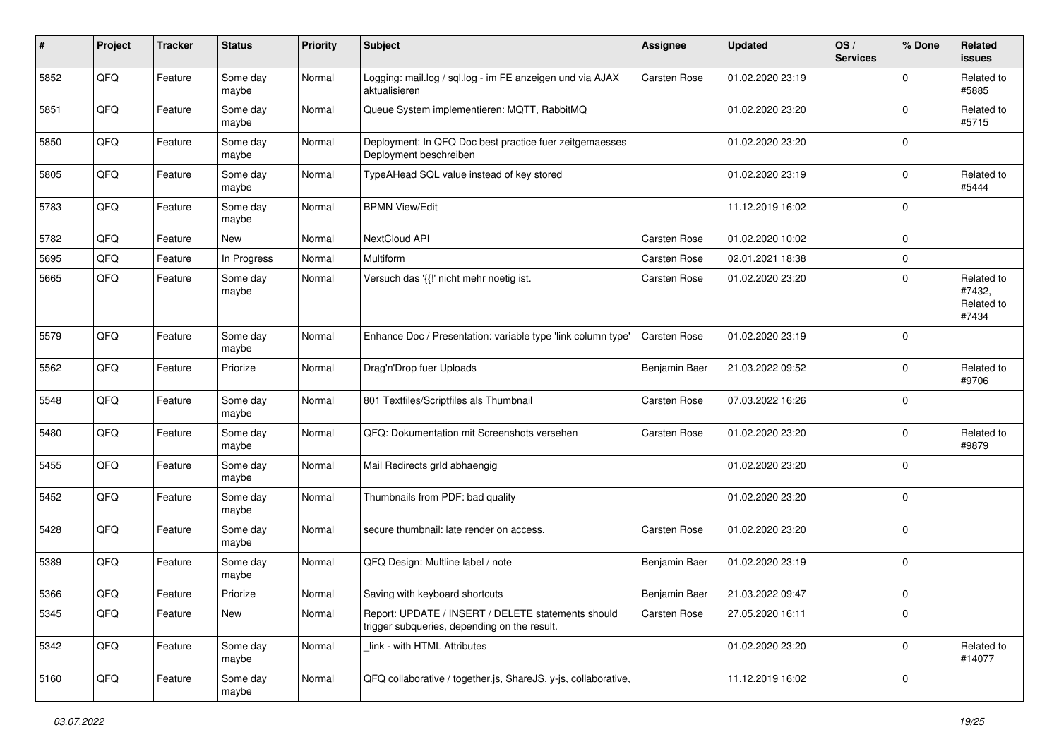| #    | Project | <b>Tracker</b> | <b>Status</b>     | <b>Priority</b> | <b>Subject</b>                                                                                     | <b>Assignee</b>     | <b>Updated</b>   | OS/<br><b>Services</b> | % Done      | Related<br>issues                           |
|------|---------|----------------|-------------------|-----------------|----------------------------------------------------------------------------------------------------|---------------------|------------------|------------------------|-------------|---------------------------------------------|
| 5852 | QFQ     | Feature        | Some day<br>maybe | Normal          | Logging: mail.log / sql.log - im FE anzeigen und via AJAX<br>aktualisieren                         | <b>Carsten Rose</b> | 01.02.2020 23:19 |                        | $\mathbf 0$ | Related to<br>#5885                         |
| 5851 | QFQ     | Feature        | Some day<br>maybe | Normal          | Queue System implementieren: MQTT, RabbitMQ                                                        |                     | 01.02.2020 23:20 |                        | $\Omega$    | Related to<br>#5715                         |
| 5850 | QFQ     | Feature        | Some day<br>maybe | Normal          | Deployment: In QFQ Doc best practice fuer zeitgemaesses<br>Deployment beschreiben                  |                     | 01.02.2020 23:20 |                        | $\Omega$    |                                             |
| 5805 | QFQ     | Feature        | Some day<br>maybe | Normal          | TypeAHead SQL value instead of key stored                                                          |                     | 01.02.2020 23:19 |                        | $\mathbf 0$ | Related to<br>#5444                         |
| 5783 | QFQ     | Feature        | Some day<br>maybe | Normal          | <b>BPMN View/Edit</b>                                                                              |                     | 11.12.2019 16:02 |                        | 0           |                                             |
| 5782 | QFQ     | Feature        | New               | Normal          | NextCloud API                                                                                      | Carsten Rose        | 01.02.2020 10:02 |                        | $\mathbf 0$ |                                             |
| 5695 | QFQ     | Feature        | In Progress       | Normal          | Multiform                                                                                          | Carsten Rose        | 02.01.2021 18:38 |                        | $\mathbf 0$ |                                             |
| 5665 | QFQ     | Feature        | Some day<br>maybe | Normal          | Versuch das '{{!' nicht mehr noetig ist.                                                           | Carsten Rose        | 01.02.2020 23:20 |                        | $\mathbf 0$ | Related to<br>#7432,<br>Related to<br>#7434 |
| 5579 | QFQ     | Feature        | Some day<br>maybe | Normal          | Enhance Doc / Presentation: variable type 'link column type'                                       | <b>Carsten Rose</b> | 01.02.2020 23:19 |                        | 0           |                                             |
| 5562 | QFQ     | Feature        | Priorize          | Normal          | Drag'n'Drop fuer Uploads                                                                           | Benjamin Baer       | 21.03.2022 09:52 |                        | $\mathbf 0$ | Related to<br>#9706                         |
| 5548 | QFQ     | Feature        | Some day<br>maybe | Normal          | 801 Textfiles/Scriptfiles als Thumbnail                                                            | Carsten Rose        | 07.03.2022 16:26 |                        | $\mathbf 0$ |                                             |
| 5480 | QFQ     | Feature        | Some day<br>maybe | Normal          | QFQ: Dokumentation mit Screenshots versehen                                                        | Carsten Rose        | 01.02.2020 23:20 |                        | $\mathbf 0$ | Related to<br>#9879                         |
| 5455 | QFQ     | Feature        | Some day<br>maybe | Normal          | Mail Redirects grld abhaengig                                                                      |                     | 01.02.2020 23:20 |                        | $\mathbf 0$ |                                             |
| 5452 | QFQ     | Feature        | Some day<br>maybe | Normal          | Thumbnails from PDF: bad quality                                                                   |                     | 01.02.2020 23:20 |                        | $\mathbf 0$ |                                             |
| 5428 | QFQ     | Feature        | Some day<br>maybe | Normal          | secure thumbnail: late render on access.                                                           | Carsten Rose        | 01.02.2020 23:20 |                        | 0           |                                             |
| 5389 | QFQ     | Feature        | Some day<br>maybe | Normal          | QFQ Design: Multline label / note                                                                  | Benjamin Baer       | 01.02.2020 23:19 |                        | 0           |                                             |
| 5366 | QFQ     | Feature        | Priorize          | Normal          | Saving with keyboard shortcuts                                                                     | Benjamin Baer       | 21.03.2022 09:47 |                        | 0           |                                             |
| 5345 | QFQ     | Feature        | New               | Normal          | Report: UPDATE / INSERT / DELETE statements should<br>trigger subqueries, depending on the result. | Carsten Rose        | 27.05.2020 16:11 |                        | 0           |                                             |
| 5342 | QFG     | Feature        | Some day<br>maybe | Normal          | link - with HTML Attributes                                                                        |                     | 01.02.2020 23:20 |                        | $\mathbf 0$ | Related to<br>#14077                        |
| 5160 | QFQ     | Feature        | Some day<br>maybe | Normal          | QFQ collaborative / together.js, ShareJS, y-js, collaborative,                                     |                     | 11.12.2019 16:02 |                        | 0           |                                             |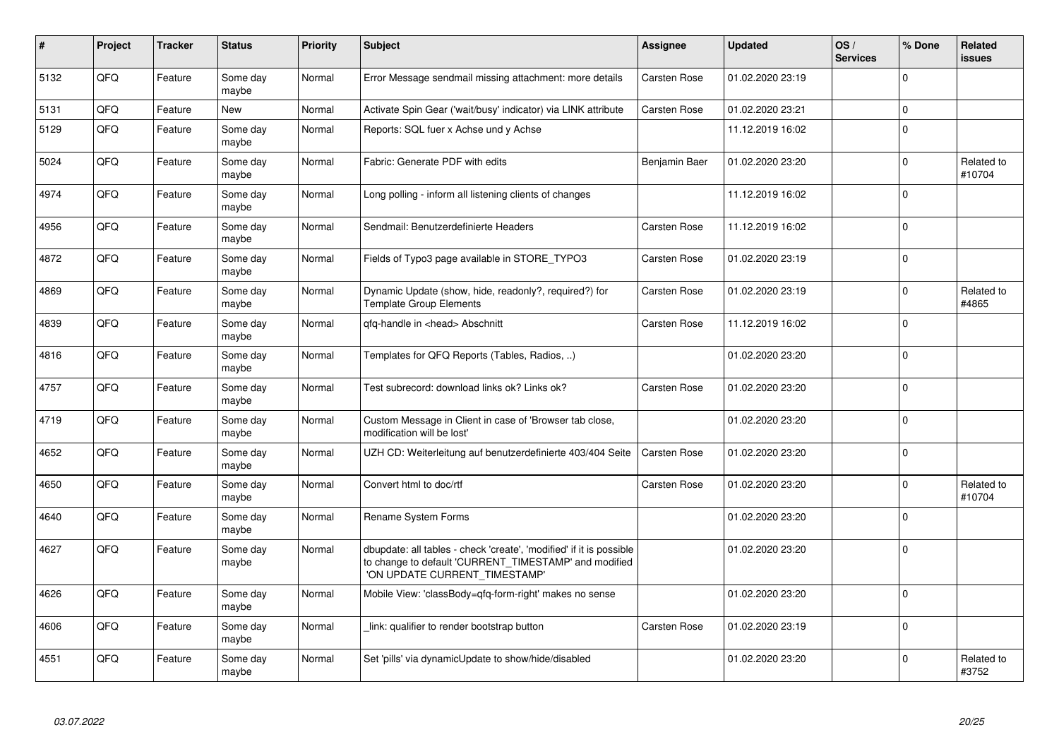| $\pmb{\sharp}$ | Project | <b>Tracker</b> | <b>Status</b>     | <b>Priority</b> | <b>Subject</b>                                                                                                                                                | <b>Assignee</b> | <b>Updated</b>   | OS/<br><b>Services</b> | % Done      | Related<br><b>issues</b> |
|----------------|---------|----------------|-------------------|-----------------|---------------------------------------------------------------------------------------------------------------------------------------------------------------|-----------------|------------------|------------------------|-------------|--------------------------|
| 5132           | QFQ     | Feature        | Some day<br>maybe | Normal          | Error Message sendmail missing attachment: more details                                                                                                       | Carsten Rose    | 01.02.2020 23:19 |                        | $\Omega$    |                          |
| 5131           | QFQ     | Feature        | <b>New</b>        | Normal          | Activate Spin Gear ('wait/busy' indicator) via LINK attribute                                                                                                 | Carsten Rose    | 01.02.2020 23:21 |                        | $\mathbf 0$ |                          |
| 5129           | QFQ     | Feature        | Some day<br>maybe | Normal          | Reports: SQL fuer x Achse und y Achse                                                                                                                         |                 | 11.12.2019 16:02 |                        | $\mathbf 0$ |                          |
| 5024           | QFQ     | Feature        | Some day<br>maybe | Normal          | Fabric: Generate PDF with edits                                                                                                                               | Benjamin Baer   | 01.02.2020 23:20 |                        | $\mathbf 0$ | Related to<br>#10704     |
| 4974           | QFQ     | Feature        | Some day<br>maybe | Normal          | Long polling - inform all listening clients of changes                                                                                                        |                 | 11.12.2019 16:02 |                        | $\mathbf 0$ |                          |
| 4956           | QFQ     | Feature        | Some day<br>maybe | Normal          | Sendmail: Benutzerdefinierte Headers                                                                                                                          | Carsten Rose    | 11.12.2019 16:02 |                        | $\Omega$    |                          |
| 4872           | QFQ     | Feature        | Some day<br>maybe | Normal          | Fields of Typo3 page available in STORE TYPO3                                                                                                                 | Carsten Rose    | 01.02.2020 23:19 |                        | $\mathbf 0$ |                          |
| 4869           | QFQ     | Feature        | Some day<br>maybe | Normal          | Dynamic Update (show, hide, readonly?, required?) for<br><b>Template Group Elements</b>                                                                       | Carsten Rose    | 01.02.2020 23:19 |                        | $\mathbf 0$ | Related to<br>#4865      |
| 4839           | QFQ     | Feature        | Some day<br>maybe | Normal          | qfq-handle in <head> Abschnitt</head>                                                                                                                         | Carsten Rose    | 11.12.2019 16:02 |                        | $\mathbf 0$ |                          |
| 4816           | QFQ     | Feature        | Some day<br>maybe | Normal          | Templates for QFQ Reports (Tables, Radios, )                                                                                                                  |                 | 01.02.2020 23:20 |                        | $\Omega$    |                          |
| 4757           | QFQ     | Feature        | Some day<br>maybe | Normal          | Test subrecord: download links ok? Links ok?                                                                                                                  | Carsten Rose    | 01.02.2020 23:20 |                        | $\mathbf 0$ |                          |
| 4719           | QFQ     | Feature        | Some day<br>maybe | Normal          | Custom Message in Client in case of 'Browser tab close,<br>modification will be lost'                                                                         |                 | 01.02.2020 23:20 |                        | $\mathbf 0$ |                          |
| 4652           | QFQ     | Feature        | Some day<br>maybe | Normal          | UZH CD: Weiterleitung auf benutzerdefinierte 403/404 Seite                                                                                                    | Carsten Rose    | 01.02.2020 23:20 |                        | $\Omega$    |                          |
| 4650           | QFQ     | Feature        | Some day<br>maybe | Normal          | Convert html to doc/rtf                                                                                                                                       | Carsten Rose    | 01.02.2020 23:20 |                        | $\Omega$    | Related to<br>#10704     |
| 4640           | QFQ     | Feature        | Some day<br>maybe | Normal          | Rename System Forms                                                                                                                                           |                 | 01.02.2020 23:20 |                        | 0           |                          |
| 4627           | QFQ     | Feature        | Some day<br>maybe | Normal          | dbupdate: all tables - check 'create', 'modified' if it is possible<br>to change to default 'CURRENT_TIMESTAMP' and modified<br>'ON UPDATE CURRENT_TIMESTAMP' |                 | 01.02.2020 23:20 |                        | $\mathbf 0$ |                          |
| 4626           | QFQ     | Feature        | Some day<br>maybe | Normal          | Mobile View: 'classBody=qfq-form-right' makes no sense                                                                                                        |                 | 01.02.2020 23:20 |                        | $\mathbf 0$ |                          |
| 4606           | QFQ     | Feature        | Some day<br>maybe | Normal          | link: qualifier to render bootstrap button                                                                                                                    | Carsten Rose    | 01.02.2020 23:19 |                        | $\Omega$    |                          |
| 4551           | QFQ     | Feature        | Some day<br>maybe | Normal          | Set 'pills' via dynamicUpdate to show/hide/disabled                                                                                                           |                 | 01.02.2020 23:20 |                        | $\Omega$    | Related to<br>#3752      |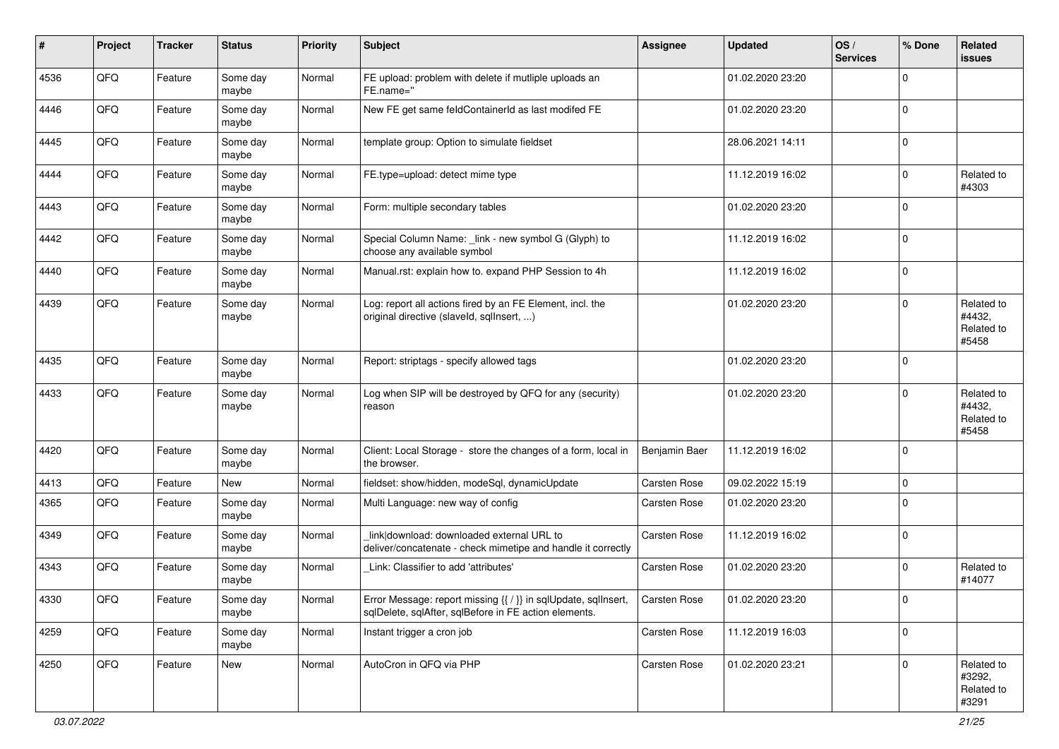| $\sharp$ | Project | <b>Tracker</b> | <b>Status</b>     | <b>Priority</b> | <b>Subject</b>                                                                                                          | <b>Assignee</b> | <b>Updated</b>   | OS/<br><b>Services</b> | % Done       | Related<br><b>issues</b>                    |
|----------|---------|----------------|-------------------|-----------------|-------------------------------------------------------------------------------------------------------------------------|-----------------|------------------|------------------------|--------------|---------------------------------------------|
| 4536     | QFQ     | Feature        | Some day<br>maybe | Normal          | FE upload: problem with delete if mutliple uploads an<br>FE.name="                                                      |                 | 01.02.2020 23:20 |                        | $\Omega$     |                                             |
| 4446     | QFQ     | Feature        | Some day<br>maybe | Normal          | New FE get same feldContainerId as last modifed FE                                                                      |                 | 01.02.2020 23:20 |                        | l 0          |                                             |
| 4445     | QFQ     | Feature        | Some day<br>maybe | Normal          | template group: Option to simulate fieldset                                                                             |                 | 28.06.2021 14:11 |                        | $\Omega$     |                                             |
| 4444     | QFQ     | Feature        | Some day<br>maybe | Normal          | FE.type=upload: detect mime type                                                                                        |                 | 11.12.2019 16:02 |                        | $\mathbf 0$  | Related to<br>#4303                         |
| 4443     | QFQ     | Feature        | Some day<br>maybe | Normal          | Form: multiple secondary tables                                                                                         |                 | 01.02.2020 23:20 |                        | $\Omega$     |                                             |
| 4442     | QFQ     | Feature        | Some day<br>maybe | Normal          | Special Column Name: _link - new symbol G (Glyph) to<br>choose any available symbol                                     |                 | 11.12.2019 16:02 |                        | $\Omega$     |                                             |
| 4440     | QFQ     | Feature        | Some day<br>maybe | Normal          | Manual.rst: explain how to. expand PHP Session to 4h                                                                    |                 | 11.12.2019 16:02 |                        | $\Omega$     |                                             |
| 4439     | QFQ     | Feature        | Some day<br>maybe | Normal          | Log: report all actions fired by an FE Element, incl. the<br>original directive (slaveld, sqllnsert, )                  |                 | 01.02.2020 23:20 |                        | $\Omega$     | Related to<br>#4432.<br>Related to<br>#5458 |
| 4435     | QFQ     | Feature        | Some day<br>maybe | Normal          | Report: striptags - specify allowed tags                                                                                |                 | 01.02.2020 23:20 |                        | $\Omega$     |                                             |
| 4433     | QFQ     | Feature        | Some day<br>maybe | Normal          | Log when SIP will be destroyed by QFQ for any (security)<br>reason                                                      |                 | 01.02.2020 23:20 |                        | $\Omega$     | Related to<br>#4432,<br>Related to<br>#5458 |
| 4420     | QFQ     | Feature        | Some day<br>maybe | Normal          | Client: Local Storage - store the changes of a form, local in<br>the browser.                                           | Benjamin Baer   | 11.12.2019 16:02 |                        | $\Omega$     |                                             |
| 4413     | QFQ     | Feature        | New               | Normal          | fieldset: show/hidden, modeSql, dynamicUpdate                                                                           | Carsten Rose    | 09.02.2022 15:19 |                        | $\mathbf 0$  |                                             |
| 4365     | QFQ     | Feature        | Some day<br>maybe | Normal          | Multi Language: new way of config                                                                                       | Carsten Rose    | 01.02.2020 23:20 |                        | $\mathbf 0$  |                                             |
| 4349     | QFQ     | Feature        | Some day<br>maybe | Normal          | link download: downloaded external URL to<br>deliver/concatenate - check mimetipe and handle it correctly               | Carsten Rose    | 11.12.2019 16:02 |                        | $\Omega$     |                                             |
| 4343     | QFQ     | Feature        | Some day<br>maybe | Normal          | Link: Classifier to add 'attributes'                                                                                    | Carsten Rose    | 01.02.2020 23:20 |                        | $\Omega$     | Related to<br>#14077                        |
| 4330     | QFQ     | Feature        | Some day<br>maybe | Normal          | Error Message: report missing {{ / }} in sqlUpdate, sqlInsert,<br>sqlDelete, sqlAfter, sqlBefore in FE action elements. | Carsten Rose    | 01.02.2020 23:20 |                        |              |                                             |
| 4259     | QFQ     | Feature        | Some day<br>maybe | Normal          | Instant trigger a cron job                                                                                              | Carsten Rose    | 11.12.2019 16:03 |                        | $\Omega$     |                                             |
| 4250     | QFQ     | Feature        | New               | Normal          | AutoCron in QFQ via PHP                                                                                                 | Carsten Rose    | 01.02.2020 23:21 |                        | $\mathbf{0}$ | Related to<br>#3292,<br>Related to<br>#3291 |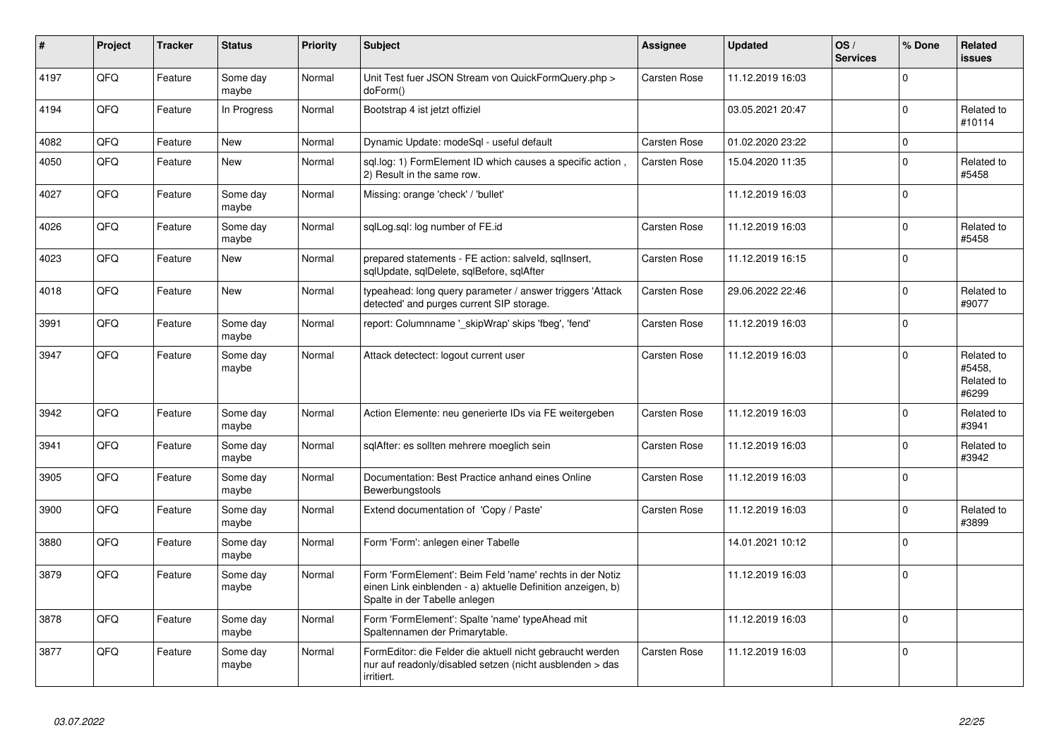| $\pmb{\sharp}$ | Project    | <b>Tracker</b> | <b>Status</b>     | <b>Priority</b> | <b>Subject</b>                                                                                                                                           | <b>Assignee</b>     | <b>Updated</b>   | OS/<br><b>Services</b> | % Done       | Related<br><b>issues</b>                    |
|----------------|------------|----------------|-------------------|-----------------|----------------------------------------------------------------------------------------------------------------------------------------------------------|---------------------|------------------|------------------------|--------------|---------------------------------------------|
| 4197           | QFQ        | Feature        | Some day<br>maybe | Normal          | Unit Test fuer JSON Stream von QuickFormQuery.php ><br>doForm()                                                                                          | Carsten Rose        | 11.12.2019 16:03 |                        | $\Omega$     |                                             |
| 4194           | QFQ        | Feature        | In Progress       | Normal          | Bootstrap 4 ist jetzt offiziel                                                                                                                           |                     | 03.05.2021 20:47 |                        | $\Omega$     | Related to<br>#10114                        |
| 4082           | QFQ        | Feature        | New               | Normal          | Dynamic Update: modeSql - useful default                                                                                                                 | Carsten Rose        | 01.02.2020 23:22 |                        | $\Omega$     |                                             |
| 4050           | QFQ        | Feature        | New               | Normal          | sql.log: 1) FormElement ID which causes a specific action,<br>2) Result in the same row.                                                                 | Carsten Rose        | 15.04.2020 11:35 |                        | $\mathbf 0$  | Related to<br>#5458                         |
| 4027           | QFQ        | Feature        | Some day<br>maybe | Normal          | Missing: orange 'check' / 'bullet'                                                                                                                       |                     | 11.12.2019 16:03 |                        | $\Omega$     |                                             |
| 4026           | QFQ        | Feature        | Some day<br>maybe | Normal          | sqlLog.sql: log number of FE.id                                                                                                                          | Carsten Rose        | 11.12.2019 16:03 |                        | $\Omega$     | Related to<br>#5458                         |
| 4023           | <b>OFO</b> | Feature        | <b>New</b>        | Normal          | prepared statements - FE action: salveld, sqllnsert,<br>sqlUpdate, sqlDelete, sqlBefore, sqlAfter                                                        | Carsten Rose        | 11.12.2019 16:15 |                        | $\Omega$     |                                             |
| 4018           | QFQ        | Feature        | <b>New</b>        | Normal          | typeahead: long query parameter / answer triggers 'Attack<br>detected' and purges current SIP storage.                                                   | Carsten Rose        | 29.06.2022 22:46 |                        | $\Omega$     | Related to<br>#9077                         |
| 3991           | QFQ        | Feature        | Some day<br>maybe | Normal          | report: Columnname ' skipWrap' skips 'fbeg', 'fend'                                                                                                      | Carsten Rose        | 11.12.2019 16:03 |                        | $\Omega$     |                                             |
| 3947           | QFQ        | Feature        | Some day<br>maybe | Normal          | Attack detectect: logout current user                                                                                                                    | Carsten Rose        | 11.12.2019 16:03 |                        | $\mathbf 0$  | Related to<br>#5458,<br>Related to<br>#6299 |
| 3942           | QFQ        | Feature        | Some day<br>maybe | Normal          | Action Elemente: neu generierte IDs via FE weitergeben                                                                                                   | Carsten Rose        | 11.12.2019 16:03 |                        | $\Omega$     | Related to<br>#3941                         |
| 3941           | QFQ        | Feature        | Some day<br>maybe | Normal          | sqlAfter: es sollten mehrere moeglich sein                                                                                                               | Carsten Rose        | 11.12.2019 16:03 |                        | $\Omega$     | Related to<br>#3942                         |
| 3905           | QFQ        | Feature        | Some day<br>maybe | Normal          | Documentation: Best Practice anhand eines Online<br>Bewerbungstools                                                                                      | Carsten Rose        | 11.12.2019 16:03 |                        | $\mathbf{0}$ |                                             |
| 3900           | QFQ        | Feature        | Some day<br>maybe | Normal          | Extend documentation of 'Copy / Paste'                                                                                                                   | Carsten Rose        | 11.12.2019 16:03 |                        | $\Omega$     | Related to<br>#3899                         |
| 3880           | <b>OFO</b> | Feature        | Some day<br>maybe | Normal          | Form 'Form': anlegen einer Tabelle                                                                                                                       |                     | 14.01.2021 10:12 |                        | $\Omega$     |                                             |
| 3879           | QFQ        | Feature        | Some day<br>maybe | Normal          | Form 'FormElement': Beim Feld 'name' rechts in der Notiz<br>einen Link einblenden - a) aktuelle Definition anzeigen, b)<br>Spalte in der Tabelle anlegen |                     | 11.12.2019 16:03 |                        | $\Omega$     |                                             |
| 3878           | QFQ        | Feature        | Some day<br>maybe | Normal          | Form 'FormElement': Spalte 'name' typeAhead mit<br>Spaltennamen der Primarytable.                                                                        |                     | 11.12.2019 16:03 |                        | $\Omega$     |                                             |
| 3877           | QFQ        | Feature        | Some day<br>maybe | Normal          | FormEditor: die Felder die aktuell nicht gebraucht werden<br>nur auf readonly/disabled setzen (nicht ausblenden > das<br>irritiert.                      | <b>Carsten Rose</b> | 11.12.2019 16:03 |                        | $\mathbf 0$  |                                             |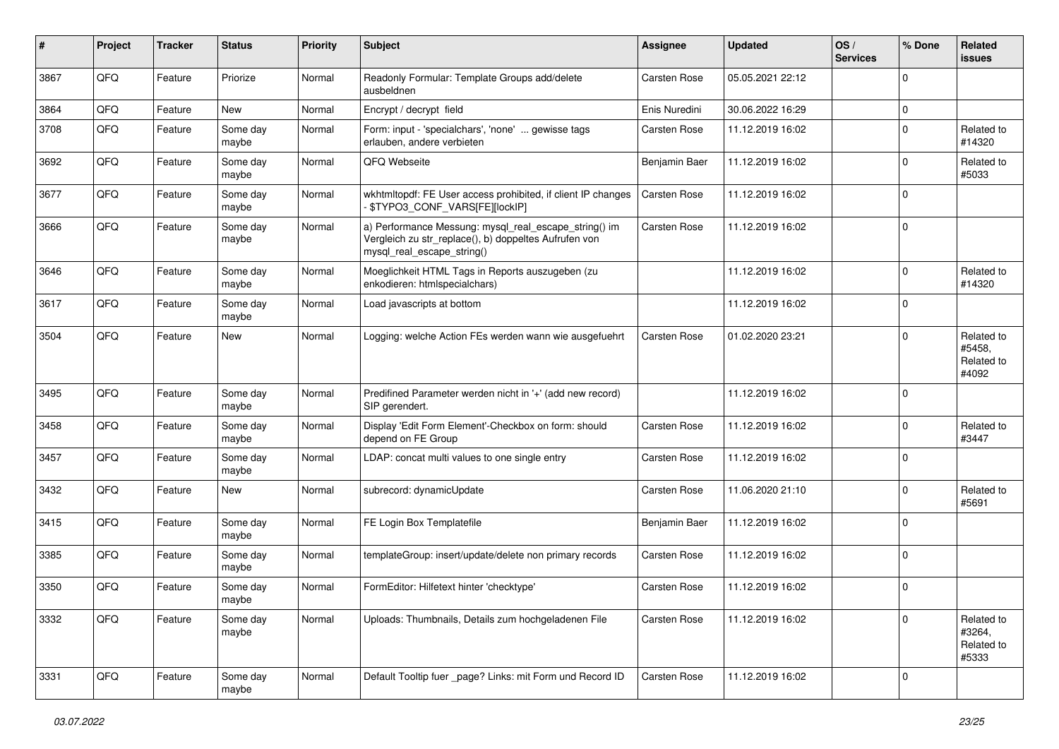| #    | Project | <b>Tracker</b> | <b>Status</b>     | <b>Priority</b> | Subject                                                                                                                                      | <b>Assignee</b> | <b>Updated</b>   | OS/<br><b>Services</b> | % Done      | Related<br><b>issues</b>                    |
|------|---------|----------------|-------------------|-----------------|----------------------------------------------------------------------------------------------------------------------------------------------|-----------------|------------------|------------------------|-------------|---------------------------------------------|
| 3867 | QFQ     | Feature        | Priorize          | Normal          | Readonly Formular: Template Groups add/delete<br>ausbeldnen                                                                                  | Carsten Rose    | 05.05.2021 22:12 |                        | $\mathbf 0$ |                                             |
| 3864 | QFQ     | Feature        | New               | Normal          | Encrypt / decrypt field                                                                                                                      | Enis Nuredini   | 30.06.2022 16:29 |                        | $\mathbf 0$ |                                             |
| 3708 | QFQ     | Feature        | Some day<br>maybe | Normal          | Form: input - 'specialchars', 'none'  gewisse tags<br>erlauben, andere verbieten                                                             | Carsten Rose    | 11.12.2019 16:02 |                        | $\mathbf 0$ | Related to<br>#14320                        |
| 3692 | QFQ     | Feature        | Some day<br>maybe | Normal          | QFQ Webseite                                                                                                                                 | Benjamin Baer   | 11.12.2019 16:02 |                        | $\mathbf 0$ | Related to<br>#5033                         |
| 3677 | QFQ     | Feature        | Some day<br>maybe | Normal          | wkhtmltopdf: FE User access prohibited, if client IP changes<br>\$TYPO3_CONF_VARS[FE][lockIP]                                                | Carsten Rose    | 11.12.2019 16:02 |                        | $\mathbf 0$ |                                             |
| 3666 | QFQ     | Feature        | Some day<br>maybe | Normal          | a) Performance Messung: mysql_real_escape_string() im<br>Vergleich zu str_replace(), b) doppeltes Aufrufen von<br>mysql_real_escape_string() | Carsten Rose    | 11.12.2019 16:02 |                        | $\mathbf 0$ |                                             |
| 3646 | QFQ     | Feature        | Some day<br>maybe | Normal          | Moeglichkeit HTML Tags in Reports auszugeben (zu<br>enkodieren: htmlspecialchars)                                                            |                 | 11.12.2019 16:02 |                        | $\mathbf 0$ | Related to<br>#14320                        |
| 3617 | QFQ     | Feature        | Some day<br>maybe | Normal          | Load javascripts at bottom                                                                                                                   |                 | 11.12.2019 16:02 |                        | $\mathbf 0$ |                                             |
| 3504 | QFQ     | Feature        | <b>New</b>        | Normal          | Logging: welche Action FEs werden wann wie ausgefuehrt                                                                                       | Carsten Rose    | 01.02.2020 23:21 |                        | $\mathbf 0$ | Related to<br>#5458,<br>Related to<br>#4092 |
| 3495 | QFQ     | Feature        | Some day<br>maybe | Normal          | Predifined Parameter werden nicht in '+' (add new record)<br>SIP gerendert.                                                                  |                 | 11.12.2019 16:02 |                        | $\mathbf 0$ |                                             |
| 3458 | QFQ     | Feature        | Some day<br>maybe | Normal          | Display 'Edit Form Element'-Checkbox on form: should<br>depend on FE Group                                                                   | Carsten Rose    | 11.12.2019 16:02 |                        | $\mathbf 0$ | Related to<br>#3447                         |
| 3457 | QFQ     | Feature        | Some day<br>maybe | Normal          | LDAP: concat multi values to one single entry                                                                                                | Carsten Rose    | 11.12.2019 16:02 |                        | $\mathbf 0$ |                                             |
| 3432 | QFQ     | Feature        | <b>New</b>        | Normal          | subrecord: dynamicUpdate                                                                                                                     | Carsten Rose    | 11.06.2020 21:10 |                        | $\mathbf 0$ | Related to<br>#5691                         |
| 3415 | QFQ     | Feature        | Some day<br>maybe | Normal          | FE Login Box Templatefile                                                                                                                    | Benjamin Baer   | 11.12.2019 16:02 |                        | $\mathbf 0$ |                                             |
| 3385 | QFQ     | Feature        | Some day<br>maybe | Normal          | templateGroup: insert/update/delete non primary records                                                                                      | Carsten Rose    | 11.12.2019 16:02 |                        | $\mathbf 0$ |                                             |
| 3350 | QFQ     | Feature        | Some day<br>maybe | Normal          | FormEditor: Hilfetext hinter 'checktype'                                                                                                     | Carsten Rose    | 11.12.2019 16:02 |                        | $\mathbf 0$ |                                             |
| 3332 | QFQ     | Feature        | Some day<br>maybe | Normal          | Uploads: Thumbnails, Details zum hochgeladenen File                                                                                          | Carsten Rose    | 11.12.2019 16:02 |                        | $\mathbf 0$ | Related to<br>#3264,<br>Related to<br>#5333 |
| 3331 | QFQ     | Feature        | Some day<br>maybe | Normal          | Default Tooltip fuer _page? Links: mit Form und Record ID                                                                                    | Carsten Rose    | 11.12.2019 16:02 |                        | $\mathbf 0$ |                                             |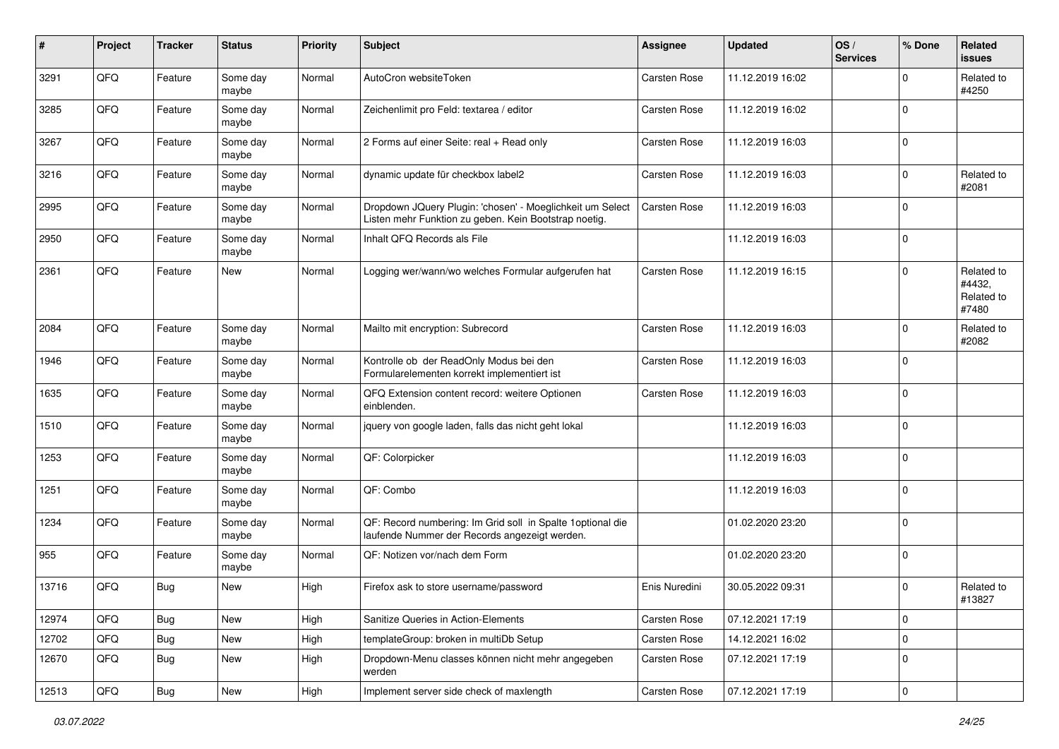| #     | Project | <b>Tracker</b> | <b>Status</b>     | <b>Priority</b> | <b>Subject</b>                                                                                                     | <b>Assignee</b>     | <b>Updated</b>   | OS/<br><b>Services</b> | % Done      | Related<br>issues                           |
|-------|---------|----------------|-------------------|-----------------|--------------------------------------------------------------------------------------------------------------------|---------------------|------------------|------------------------|-------------|---------------------------------------------|
| 3291  | QFQ     | Feature        | Some day<br>maybe | Normal          | AutoCron websiteToken                                                                                              | Carsten Rose        | 11.12.2019 16:02 |                        | $\mathbf 0$ | Related to<br>#4250                         |
| 3285  | QFQ     | Feature        | Some day<br>maybe | Normal          | Zeichenlimit pro Feld: textarea / editor                                                                           | <b>Carsten Rose</b> | 11.12.2019 16:02 |                        | $\mathbf 0$ |                                             |
| 3267  | QFQ     | Feature        | Some day<br>maybe | Normal          | 2 Forms auf einer Seite: real + Read only                                                                          | Carsten Rose        | 11.12.2019 16:03 |                        | $\Omega$    |                                             |
| 3216  | QFQ     | Feature        | Some day<br>maybe | Normal          | dynamic update für checkbox label2                                                                                 | Carsten Rose        | 11.12.2019 16:03 |                        | $\Omega$    | Related to<br>#2081                         |
| 2995  | QFQ     | Feature        | Some day<br>maybe | Normal          | Dropdown JQuery Plugin: 'chosen' - Moeglichkeit um Select<br>Listen mehr Funktion zu geben. Kein Bootstrap noetig. | Carsten Rose        | 11.12.2019 16:03 |                        | $\Omega$    |                                             |
| 2950  | QFQ     | Feature        | Some day<br>maybe | Normal          | Inhalt QFQ Records als File                                                                                        |                     | 11.12.2019 16:03 |                        | $\mathbf 0$ |                                             |
| 2361  | QFQ     | Feature        | <b>New</b>        | Normal          | Logging wer/wann/wo welches Formular aufgerufen hat                                                                | Carsten Rose        | 11.12.2019 16:15 |                        | $\Omega$    | Related to<br>#4432,<br>Related to<br>#7480 |
| 2084  | QFQ     | Feature        | Some day<br>maybe | Normal          | Mailto mit encryption: Subrecord                                                                                   | Carsten Rose        | 11.12.2019 16:03 |                        | $\mathbf 0$ | Related to<br>#2082                         |
| 1946  | QFQ     | Feature        | Some day<br>maybe | Normal          | Kontrolle ob der ReadOnly Modus bei den<br>Formularelementen korrekt implementiert ist                             | Carsten Rose        | 11.12.2019 16:03 |                        | $\Omega$    |                                             |
| 1635  | QFQ     | Feature        | Some day<br>maybe | Normal          | QFQ Extension content record: weitere Optionen<br>einblenden.                                                      | Carsten Rose        | 11.12.2019 16:03 |                        | $\mathbf 0$ |                                             |
| 1510  | QFQ     | Feature        | Some day<br>maybe | Normal          | jquery von google laden, falls das nicht geht lokal                                                                |                     | 11.12.2019 16:03 |                        | 0           |                                             |
| 1253  | QFQ     | Feature        | Some day<br>maybe | Normal          | QF: Colorpicker                                                                                                    |                     | 11.12.2019 16:03 |                        | $\Omega$    |                                             |
| 1251  | QFQ     | Feature        | Some day<br>maybe | Normal          | QF: Combo                                                                                                          |                     | 11.12.2019 16:03 |                        | $\mathbf 0$ |                                             |
| 1234  | QFQ     | Feature        | Some day<br>maybe | Normal          | QF: Record numbering: Im Grid soll in Spalte 1 optional die<br>laufende Nummer der Records angezeigt werden.       |                     | 01.02.2020 23:20 |                        | $\mathbf 0$ |                                             |
| 955   | QFQ     | Feature        | Some day<br>maybe | Normal          | QF: Notizen vor/nach dem Form                                                                                      |                     | 01.02.2020 23:20 |                        | $\mathbf 0$ |                                             |
| 13716 | QFQ     | Bug            | <b>New</b>        | High            | Firefox ask to store username/password                                                                             | Enis Nuredini       | 30.05.2022 09:31 |                        | $\mathbf 0$ | Related to<br>#13827                        |
| 12974 | QFQ     | Bug            | New               | High            | Sanitize Queries in Action-Elements                                                                                | Carsten Rose        | 07.12.2021 17:19 |                        | 0           |                                             |
| 12702 | QFQ     | Bug            | New               | High            | templateGroup: broken in multiDb Setup                                                                             | Carsten Rose        | 14.12.2021 16:02 |                        | $\mathbf 0$ |                                             |
| 12670 | QFQ     | Bug            | New               | High            | Dropdown-Menu classes können nicht mehr angegeben<br>werden                                                        | Carsten Rose        | 07.12.2021 17:19 |                        | 0           |                                             |
| 12513 | QFG     | <b>Bug</b>     | New               | High            | Implement server side check of maxlength                                                                           | Carsten Rose        | 07.12.2021 17:19 |                        | 0           |                                             |